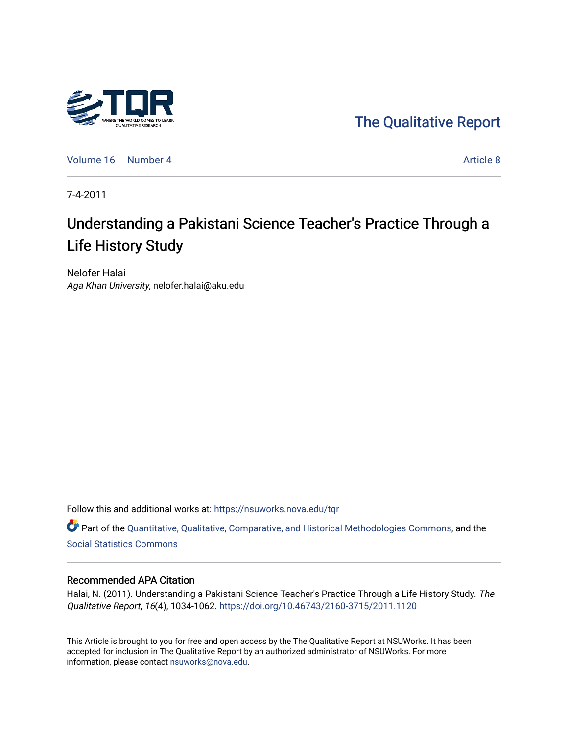

[The Qualitative Report](https://nsuworks.nova.edu/tqr) 

[Volume 16](https://nsuworks.nova.edu/tqr/vol16) [Number 4](https://nsuworks.nova.edu/tqr/vol16/iss4) Article 8

7-4-2011

# Understanding a Pakistani Science Teacher's Practice Through a Life History Study

Nelofer Halai Aga Khan University, nelofer.halai@aku.edu

Follow this and additional works at: [https://nsuworks.nova.edu/tqr](https://nsuworks.nova.edu/tqr?utm_source=nsuworks.nova.edu%2Ftqr%2Fvol16%2Fiss4%2F8&utm_medium=PDF&utm_campaign=PDFCoverPages) 

Part of the [Quantitative, Qualitative, Comparative, and Historical Methodologies Commons,](http://network.bepress.com/hgg/discipline/423?utm_source=nsuworks.nova.edu%2Ftqr%2Fvol16%2Fiss4%2F8&utm_medium=PDF&utm_campaign=PDFCoverPages) and the [Social Statistics Commons](http://network.bepress.com/hgg/discipline/1275?utm_source=nsuworks.nova.edu%2Ftqr%2Fvol16%2Fiss4%2F8&utm_medium=PDF&utm_campaign=PDFCoverPages) 

#### Recommended APA Citation

Halai, N. (2011). Understanding a Pakistani Science Teacher's Practice Through a Life History Study. The Qualitative Report, 16(4), 1034-1062. <https://doi.org/10.46743/2160-3715/2011.1120>

This Article is brought to you for free and open access by the The Qualitative Report at NSUWorks. It has been accepted for inclusion in The Qualitative Report by an authorized administrator of NSUWorks. For more information, please contact [nsuworks@nova.edu.](mailto:nsuworks@nova.edu)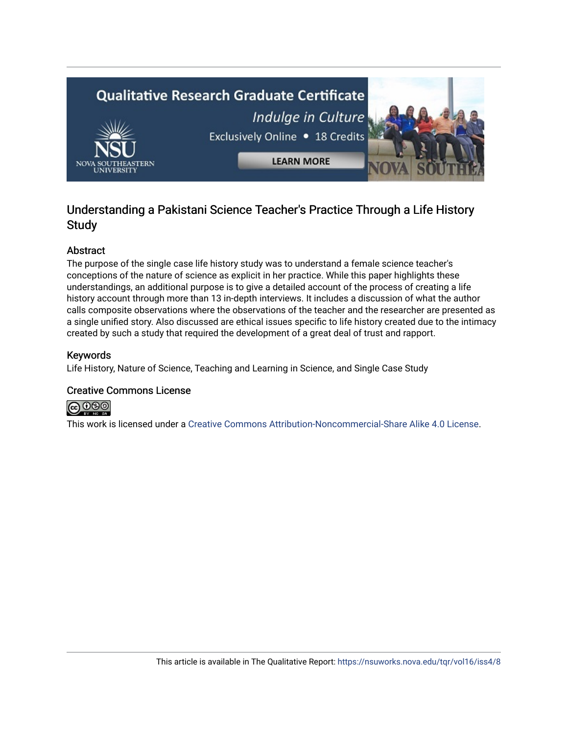

## Understanding a Pakistani Science Teacher's Practice Through a Life History **Study**

## Abstract

The purpose of the single case life history study was to understand a female science teacher's conceptions of the nature of science as explicit in her practice. While this paper highlights these understandings, an additional purpose is to give a detailed account of the process of creating a life history account through more than 13 in-depth interviews. It includes a discussion of what the author calls composite observations where the observations of the teacher and the researcher are presented as a single unified story. Also discussed are ethical issues specific to life history created due to the intimacy created by such a study that required the development of a great deal of trust and rapport.

## Keywords

Life History, Nature of Science, Teaching and Learning in Science, and Single Case Study

## Creative Commons License



This work is licensed under a [Creative Commons Attribution-Noncommercial-Share Alike 4.0 License](https://creativecommons.org/licenses/by-nc-sa/4.0/).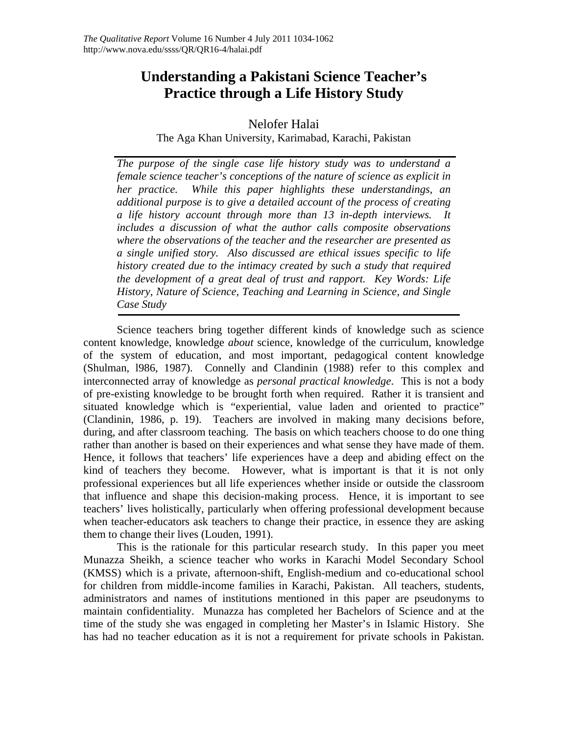## **Understanding a Pakistani Science Teacher's Practice through a Life History Study**

## Nelofer Halai

The Aga Khan University, Karimabad, Karachi, Pakistan

*The purpose of the single case life history study was to understand a female science teacher's conceptions of the nature of science as explicit in her practice. While this paper highlights these understandings, an additional purpose is to give a detailed account of the process of creating a life history account through more than 13 in-depth interviews. It includes a discussion of what the author calls composite observations where the observations of the teacher and the researcher are presented as a single unified story. Also discussed are ethical issues specific to life history created due to the intimacy created by such a study that required the development of a great deal of trust and rapport. Key Words: Life History, Nature of Science, Teaching and Learning in Science, and Single Case Study* 

Science teachers bring together different kinds of knowledge such as science content knowledge, knowledge *about* science, knowledge of the curriculum, knowledge of the system of education, and most important, pedagogical content knowledge (Shulman, l986, 1987). Connelly and Clandinin (1988) refer to this complex and interconnected array of knowledge as *personal practical knowledge*. This is not a body of pre-existing knowledge to be brought forth when required. Rather it is transient and situated knowledge which is "experiential, value laden and oriented to practice" (Clandinin, 1986, p. 19). Teachers are involved in making many decisions before, during, and after classroom teaching. The basis on which teachers choose to do one thing rather than another is based on their experiences and what sense they have made of them. Hence, it follows that teachers' life experiences have a deep and abiding effect on the kind of teachers they become. However, what is important is that it is not only professional experiences but all life experiences whether inside or outside the classroom that influence and shape this decision-making process. Hence, it is important to see teachers' lives holistically, particularly when offering professional development because when teacher-educators ask teachers to change their practice, in essence they are asking them to change their lives (Louden, 1991).

This is the rationale for this particular research study. In this paper you meet Munazza Sheikh, a science teacher who works in Karachi Model Secondary School (KMSS) which is a private, afternoon-shift, English-medium and co-educational school for children from middle-income families in Karachi, Pakistan. All teachers, students, administrators and names of institutions mentioned in this paper are pseudonyms to maintain confidentiality. Munazza has completed her Bachelors of Science and at the time of the study she was engaged in completing her Master's in Islamic History. She has had no teacher education as it is not a requirement for private schools in Pakistan.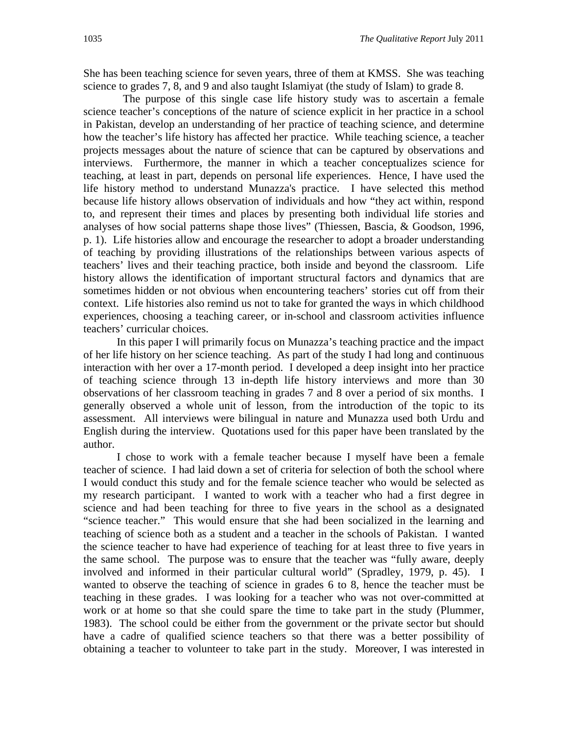She has been teaching science for seven years, three of them at KMSS. She was teaching science to grades 7, 8, and 9 and also taught Islamiyat (the study of Islam) to grade 8.

The purpose of this single case life history study was to ascertain a female science teacher's conceptions of the nature of science explicit in her practice in a school in Pakistan, develop an understanding of her practice of teaching science, and determine how the teacher's life history has affected her practice. While teaching science, a teacher projects messages about the nature of science that can be captured by observations and interviews. Furthermore, the manner in which a teacher conceptualizes science for teaching, at least in part, depends on personal life experiences. Hence, I have used the life history method to understand Munazza's practice. I have selected this method because life history allows observation of individuals and how "they act within, respond to, and represent their times and places by presenting both individual life stories and analyses of how social patterns shape those lives" (Thiessen, Bascia, & Goodson, 1996, p. 1). Life histories allow and encourage the researcher to adopt a broader understanding of teaching by providing illustrations of the relationships between various aspects of teachers' lives and their teaching practice, both inside and beyond the classroom. Life history allows the identification of important structural factors and dynamics that are sometimes hidden or not obvious when encountering teachers' stories cut off from their context. Life histories also remind us not to take for granted the ways in which childhood experiences, choosing a teaching career, or in-school and classroom activities influence teachers' curricular choices.

In this paper I will primarily focus on Munazza's teaching practice and the impact of her life history on her science teaching. As part of the study I had long and continuous interaction with her over a 17-month period. I developed a deep insight into her practice of teaching science through 13 in-depth life history interviews and more than 30 observations of her classroom teaching in grades 7 and 8 over a period of six months. I generally observed a whole unit of lesson, from the introduction of the topic to its assessment. All interviews were bilingual in nature and Munazza used both Urdu and English during the interview. Quotations used for this paper have been translated by the author.

I chose to work with a female teacher because I myself have been a female teacher of science. I had laid down a set of criteria for selection of both the school where I would conduct this study and for the female science teacher who would be selected as my research participant. I wanted to work with a teacher who had a first degree in science and had been teaching for three to five years in the school as a designated "science teacher." This would ensure that she had been socialized in the learning and teaching of science both as a student and a teacher in the schools of Pakistan. I wanted the science teacher to have had experience of teaching for at least three to five years in the same school. The purpose was to ensure that the teacher was "fully aware, deeply involved and informed in their particular cultural world" (Spradley, 1979, p. 45). I wanted to observe the teaching of science in grades 6 to 8, hence the teacher must be teaching in these grades. I was looking for a teacher who was not over-committed at work or at home so that she could spare the time to take part in the study (Plummer, 1983). The school could be either from the government or the private sector but should have a cadre of qualified science teachers so that there was a better possibility of obtaining a teacher to volunteer to take part in the study. Moreover, I was interested in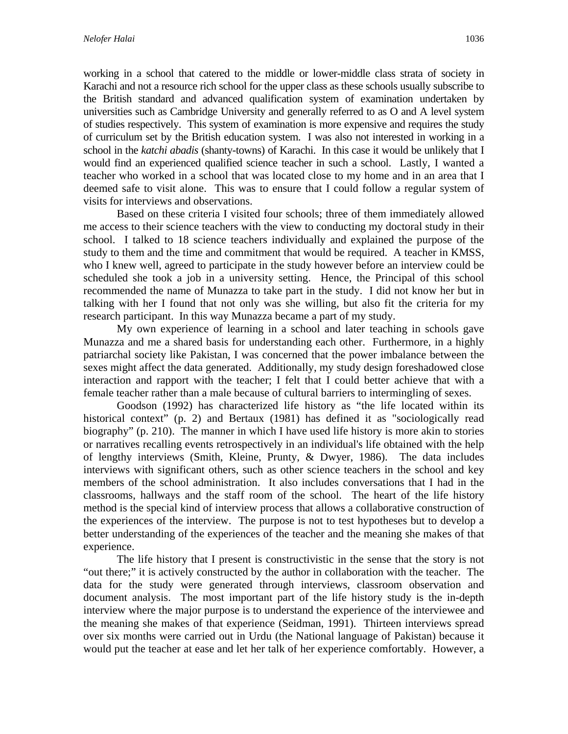working in a school that catered to the middle or lower-middle class strata of society in Karachi and not a resource rich school for the upper class as these schools usually subscribe to the British standard and advanced qualification system of examination undertaken by universities such as Cambridge University and generally referred to as O and A level system of studies respectively. This system of examination is more expensive and requires the study of curriculum set by the British education system. I was also not interested in working in a school in the *katchi abadis* (shanty-towns) of Karachi. In this case it would be unlikely that I would find an experienced qualified science teacher in such a school. Lastly, I wanted a teacher who worked in a school that was located close to my home and in an area that I deemed safe to visit alone. This was to ensure that I could follow a regular system of visits for interviews and observations.

Based on these criteria I visited four schools; three of them immediately allowed me access to their science teachers with the view to conducting my doctoral study in their school. I talked to 18 science teachers individually and explained the purpose of the study to them and the time and commitment that would be required. A teacher in KMSS, who I knew well, agreed to participate in the study however before an interview could be scheduled she took a job in a university setting. Hence, the Principal of this school recommended the name of Munazza to take part in the study. I did not know her but in talking with her I found that not only was she willing, but also fit the criteria for my research participant. In this way Munazza became a part of my study.

My own experience of learning in a school and later teaching in schools gave Munazza and me a shared basis for understanding each other. Furthermore, in a highly patriarchal society like Pakistan, I was concerned that the power imbalance between the sexes might affect the data generated. Additionally, my study design foreshadowed close interaction and rapport with the teacher; I felt that I could better achieve that with a female teacher rather than a male because of cultural barriers to intermingling of sexes.

Goodson (1992) has characterized life history as "the life located within its historical context" (p. 2) and Bertaux (1981) has defined it as "sociologically read biography" (p. 210). The manner in which I have used life history is more akin to stories or narratives recalling events retrospectively in an individual's life obtained with the help of lengthy interviews (Smith, Kleine, Prunty, & Dwyer, 1986). The data includes interviews with significant others, such as other science teachers in the school and key members of the school administration. It also includes conversations that I had in the classrooms, hallways and the staff room of the school. The heart of the life history method is the special kind of interview process that allows a collaborative construction of the experiences of the interview. The purpose is not to test hypotheses but to develop a better understanding of the experiences of the teacher and the meaning she makes of that experience.

The life history that I present is constructivistic in the sense that the story is not "out there;" it is actively constructed by the author in collaboration with the teacher. The data for the study were generated through interviews, classroom observation and document analysis. The most important part of the life history study is the in-depth interview where the major purpose is to understand the experience of the interviewee and the meaning she makes of that experience (Seidman, 1991). Thirteen interviews spread over six months were carried out in Urdu (the National language of Pakistan) because it would put the teacher at ease and let her talk of her experience comfortably. However, a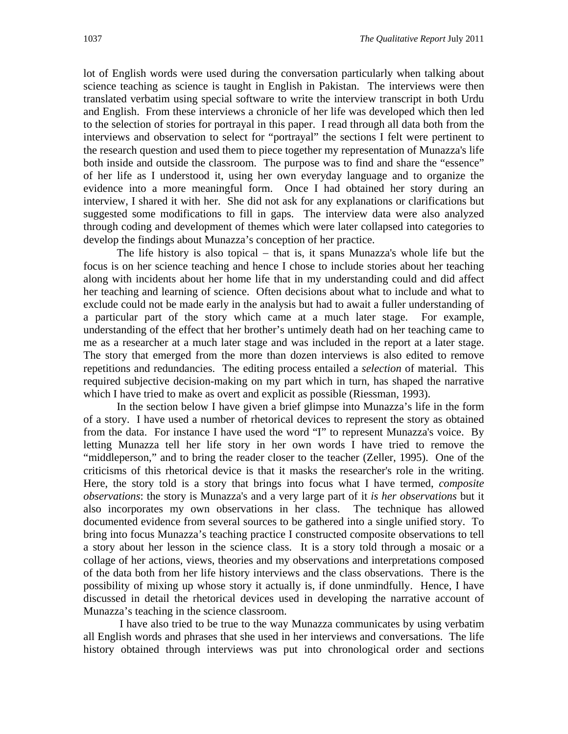lot of English words were used during the conversation particularly when talking about science teaching as science is taught in English in Pakistan. The interviews were then translated verbatim using special software to write the interview transcript in both Urdu and English. From these interviews a chronicle of her life was developed which then led to the selection of stories for portrayal in this paper. I read through all data both from the interviews and observation to select for "portrayal" the sections I felt were pertinent to the research question and used them to piece together my representation of Munazza's life both inside and outside the classroom. The purpose was to find and share the "essence" of her life as I understood it, using her own everyday language and to organize the evidence into a more meaningful form. Once I had obtained her story during an interview, I shared it with her. She did not ask for any explanations or clarifications but suggested some modifications to fill in gaps. The interview data were also analyzed through coding and development of themes which were later collapsed into categories to develop the findings about Munazza's conception of her practice.

The life history is also topical  $-$  that is, it spans Munazza's whole life but the focus is on her science teaching and hence I chose to include stories about her teaching along with incidents about her home life that in my understanding could and did affect her teaching and learning of science. Often decisions about what to include and what to exclude could not be made early in the analysis but had to await a fuller understanding of a particular part of the story which came at a much later stage. For example, understanding of the effect that her brother's untimely death had on her teaching came to me as a researcher at a much later stage and was included in the report at a later stage. The story that emerged from the more than dozen interviews is also edited to remove repetitions and redundancies. The editing process entailed a *selection* of material. This required subjective decision-making on my part which in turn, has shaped the narrative which I have tried to make as overt and explicit as possible (Riessman, 1993).

In the section below I have given a brief glimpse into Munazza's life in the form of a story. I have used a number of rhetorical devices to represent the story as obtained from the data. For instance I have used the word "I" to represent Munazza's voice. By letting Munazza tell her life story in her own words I have tried to remove the "middleperson," and to bring the reader closer to the teacher (Zeller, 1995). One of the criticisms of this rhetorical device is that it masks the researcher's role in the writing. Here, the story told is a story that brings into focus what I have termed, *composite observations*: the story is Munazza's and a very large part of it *is her observations* but it also incorporates my own observations in her class. The technique has allowed documented evidence from several sources to be gathered into a single unified story. To bring into focus Munazza's teaching practice I constructed composite observations to tell a story about her lesson in the science class. It is a story told through a mosaic or a collage of her actions, views, theories and my observations and interpretations composed of the data both from her life history interviews and the class observations. There is the possibility of mixing up whose story it actually is, if done unmindfully. Hence, I have discussed in detail the rhetorical devices used in developing the narrative account of Munazza's teaching in the science classroom.

 I have also tried to be true to the way Munazza communicates by using verbatim all English words and phrases that she used in her interviews and conversations. The life history obtained through interviews was put into chronological order and sections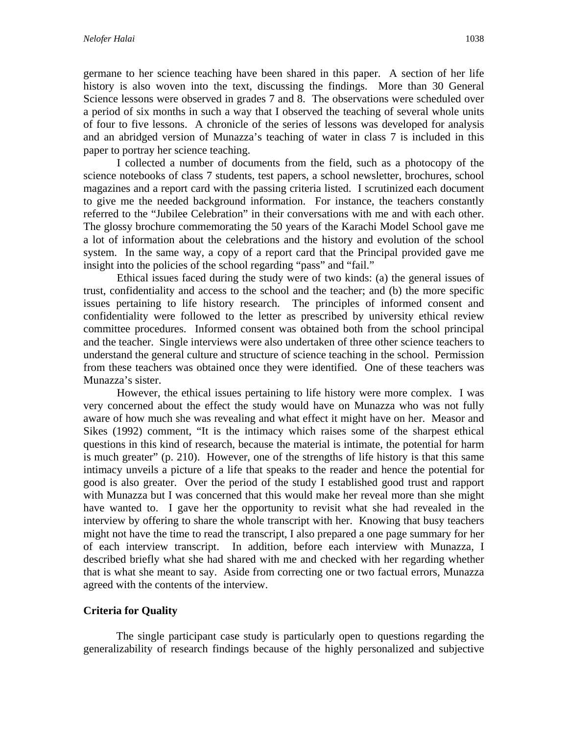germane to her science teaching have been shared in this paper. A section of her life history is also woven into the text, discussing the findings. More than 30 General Science lessons were observed in grades 7 and 8. The observations were scheduled over a period of six months in such a way that I observed the teaching of several whole units of four to five lessons. A chronicle of the series of lessons was developed for analysis and an abridged version of Munazza's teaching of water in class 7 is included in this paper to portray her science teaching.

I collected a number of documents from the field, such as a photocopy of the science notebooks of class 7 students, test papers, a school newsletter, brochures, school magazines and a report card with the passing criteria listed. I scrutinized each document to give me the needed background information. For instance, the teachers constantly referred to the "Jubilee Celebration" in their conversations with me and with each other. The glossy brochure commemorating the 50 years of the Karachi Model School gave me a lot of information about the celebrations and the history and evolution of the school system. In the same way, a copy of a report card that the Principal provided gave me insight into the policies of the school regarding "pass" and "fail."

Ethical issues faced during the study were of two kinds: (a) the general issues of trust, confidentiality and access to the school and the teacher; and (b) the more specific issues pertaining to life history research. The principles of informed consent and confidentiality were followed to the letter as prescribed by university ethical review committee procedures. Informed consent was obtained both from the school principal and the teacher. Single interviews were also undertaken of three other science teachers to understand the general culture and structure of science teaching in the school. Permission from these teachers was obtained once they were identified. One of these teachers was Munazza's sister.

However, the ethical issues pertaining to life history were more complex. I was very concerned about the effect the study would have on Munazza who was not fully aware of how much she was revealing and what effect it might have on her. Measor and Sikes (1992) comment, "It is the intimacy which raises some of the sharpest ethical questions in this kind of research, because the material is intimate, the potential for harm is much greater" (p. 210). However, one of the strengths of life history is that this same intimacy unveils a picture of a life that speaks to the reader and hence the potential for good is also greater. Over the period of the study I established good trust and rapport with Munazza but I was concerned that this would make her reveal more than she might have wanted to. I gave her the opportunity to revisit what she had revealed in the interview by offering to share the whole transcript with her. Knowing that busy teachers might not have the time to read the transcript, I also prepared a one page summary for her of each interview transcript. In addition, before each interview with Munazza, I described briefly what she had shared with me and checked with her regarding whether that is what she meant to say. Aside from correcting one or two factual errors, Munazza agreed with the contents of the interview.

## **Criteria for Quality**

The single participant case study is particularly open to questions regarding the generalizability of research findings because of the highly personalized and subjective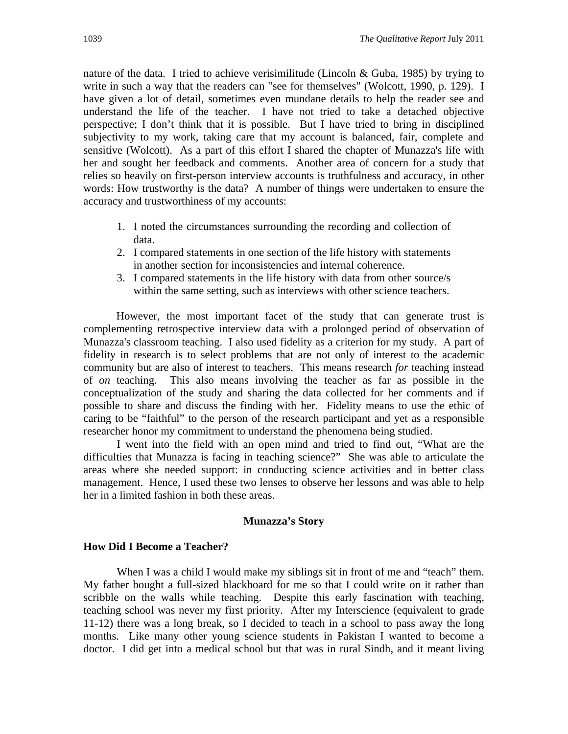nature of the data. I tried to achieve verisimilitude (Lincoln & Guba, 1985) by trying to write in such a way that the readers can "see for themselves" (Wolcott, 1990, p. 129). I have given a lot of detail, sometimes even mundane details to help the reader see and understand the life of the teacher. I have not tried to take a detached objective perspective; I don't think that it is possible. But I have tried to bring in disciplined subjectivity to my work, taking care that my account is balanced, fair, complete and sensitive (Wolcott). As a part of this effort I shared the chapter of Munazza's life with her and sought her feedback and comments. Another area of concern for a study that relies so heavily on first-person interview accounts is truthfulness and accuracy, in other words: How trustworthy is the data? A number of things were undertaken to ensure the accuracy and trustworthiness of my accounts:

- 1. I noted the circumstances surrounding the recording and collection of data.
- 2. I compared statements in one section of the life history with statements in another section for inconsistencies and internal coherence.
- 3. I compared statements in the life history with data from other source/s within the same setting, such as interviews with other science teachers.

However, the most important facet of the study that can generate trust is complementing retrospective interview data with a prolonged period of observation of Munazza's classroom teaching. I also used fidelity as a criterion for my study. A part of fidelity in research is to select problems that are not only of interest to the academic community but are also of interest to teachers. This means research *for* teaching instead of *on* teaching. This also means involving the teacher as far as possible in the conceptualization of the study and sharing the data collected for her comments and if possible to share and discuss the finding with her. Fidelity means to use the ethic of caring to be "faithful" to the person of the research participant and yet as a responsible researcher honor my commitment to understand the phenomena being studied.

I went into the field with an open mind and tried to find out, "What are the difficulties that Munazza is facing in teaching science?" She was able to articulate the areas where she needed support: in conducting science activities and in better class management. Hence, I used these two lenses to observe her lessons and was able to help her in a limited fashion in both these areas.

#### **Munazza's Story**

#### **How Did I Become a Teacher?**

When I was a child I would make my siblings sit in front of me and "teach" them. My father bought a full-sized blackboard for me so that I could write on it rather than scribble on the walls while teaching. Despite this early fascination with teaching, teaching school was never my first priority. After my Interscience (equivalent to grade 11-12) there was a long break, so I decided to teach in a school to pass away the long months. Like many other young science students in Pakistan I wanted to become a doctor. I did get into a medical school but that was in rural Sindh, and it meant living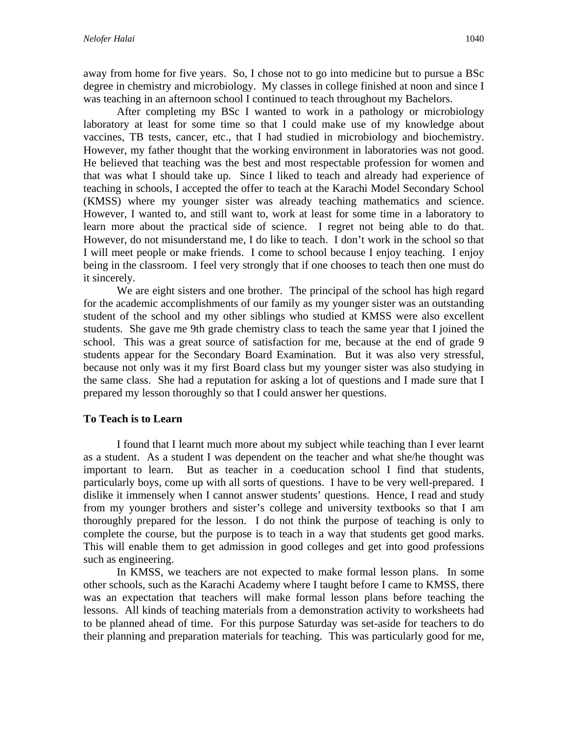away from home for five years. So, I chose not to go into medicine but to pursue a BSc degree in chemistry and microbiology. My classes in college finished at noon and since I was teaching in an afternoon school I continued to teach throughout my Bachelors.

 After completing my BSc I wanted to work in a pathology or microbiology laboratory at least for some time so that I could make use of my knowledge about vaccines, TB tests, cancer, etc., that I had studied in microbiology and biochemistry. However, my father thought that the working environment in laboratories was not good. He believed that teaching was the best and most respectable profession for women and that was what I should take up. Since I liked to teach and already had experience of teaching in schools, I accepted the offer to teach at the Karachi Model Secondary School (KMSS) where my younger sister was already teaching mathematics and science. However, I wanted to, and still want to, work at least for some time in a laboratory to learn more about the practical side of science. I regret not being able to do that. However, do not misunderstand me, I do like to teach. I don't work in the school so that I will meet people or make friends. I come to school because I enjoy teaching. I enjoy being in the classroom. I feel very strongly that if one chooses to teach then one must do it sincerely.

 We are eight sisters and one brother. The principal of the school has high regard for the academic accomplishments of our family as my younger sister was an outstanding student of the school and my other siblings who studied at KMSS were also excellent students. She gave me 9th grade chemistry class to teach the same year that I joined the school. This was a great source of satisfaction for me, because at the end of grade 9 students appear for the Secondary Board Examination. But it was also very stressful, because not only was it my first Board class but my younger sister was also studying in the same class. She had a reputation for asking a lot of questions and I made sure that I prepared my lesson thoroughly so that I could answer her questions.

#### **To Teach is to Learn**

 I found that I learnt much more about my subject while teaching than I ever learnt as a student. As a student I was dependent on the teacher and what she/he thought was important to learn. But as teacher in a coeducation school I find that students, particularly boys, come up with all sorts of questions. I have to be very well-prepared. I dislike it immensely when I cannot answer students' questions. Hence, I read and study from my younger brothers and sister's college and university textbooks so that I am thoroughly prepared for the lesson. I do not think the purpose of teaching is only to complete the course, but the purpose is to teach in a way that students get good marks. This will enable them to get admission in good colleges and get into good professions such as engineering.

 In KMSS, we teachers are not expected to make formal lesson plans. In some other schools, such as the Karachi Academy where I taught before I came to KMSS, there was an expectation that teachers will make formal lesson plans before teaching the lessons. All kinds of teaching materials from a demonstration activity to worksheets had to be planned ahead of time. For this purpose Saturday was set-aside for teachers to do their planning and preparation materials for teaching. This was particularly good for me,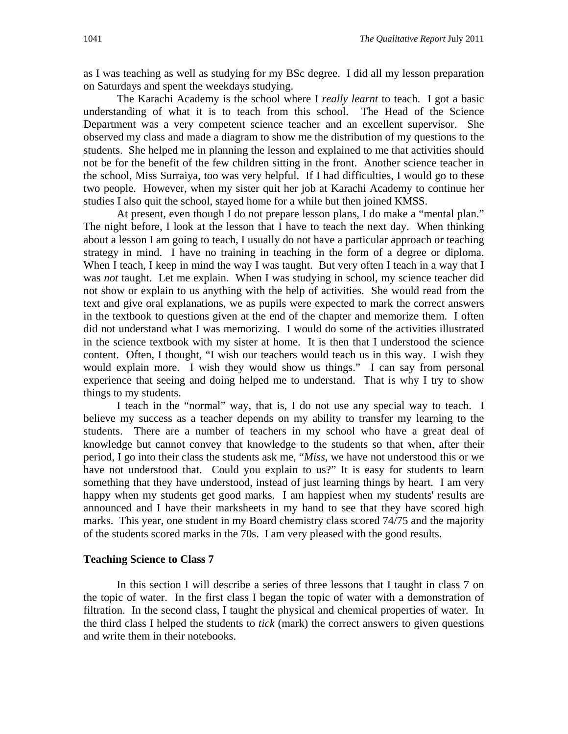as I was teaching as well as studying for my BSc degree. I did all my lesson preparation on Saturdays and spent the weekdays studying.

 The Karachi Academy is the school where I *really learnt* to teach. I got a basic understanding of what it is to teach from this school. The Head of the Science Department was a very competent science teacher and an excellent supervisor. She observed my class and made a diagram to show me the distribution of my questions to the students. She helped me in planning the lesson and explained to me that activities should not be for the benefit of the few children sitting in the front. Another science teacher in the school, Miss Surraiya, too was very helpful. If I had difficulties, I would go to these two people. However, when my sister quit her job at Karachi Academy to continue her studies I also quit the school, stayed home for a while but then joined KMSS.

 At present, even though I do not prepare lesson plans, I do make a "mental plan." The night before, I look at the lesson that I have to teach the next day. When thinking about a lesson I am going to teach, I usually do not have a particular approach or teaching strategy in mind. I have no training in teaching in the form of a degree or diploma. When I teach, I keep in mind the way I was taught. But very often I teach in a way that I was *not* taught. Let me explain. When I was studying in school, my science teacher did not show or explain to us anything with the help of activities. She would read from the text and give oral explanations, we as pupils were expected to mark the correct answers in the textbook to questions given at the end of the chapter and memorize them. I often did not understand what I was memorizing. I would do some of the activities illustrated in the science textbook with my sister at home. It is then that I understood the science content. Often, I thought, "I wish our teachers would teach us in this way. I wish they would explain more. I wish they would show us things." I can say from personal experience that seeing and doing helped me to understand. That is why I try to show things to my students.

 I teach in the "normal" way, that is, I do not use any special way to teach. I believe my success as a teacher depends on my ability to transfer my learning to the students. There are a number of teachers in my school who have a great deal of knowledge but cannot convey that knowledge to the students so that when, after their period, I go into their class the students ask me, "*Miss,* we have not understood this or we have not understood that. Could you explain to us?" It is easy for students to learn something that they have understood, instead of just learning things by heart. I am very happy when my students get good marks. I am happiest when my students' results are announced and I have their marksheets in my hand to see that they have scored high marks. This year, one student in my Board chemistry class scored 74/75 and the majority of the students scored marks in the 70s. I am very pleased with the good results.

#### **Teaching Science to Class 7**

In this section I will describe a series of three lessons that I taught in class 7 on the topic of water. In the first class I began the topic of water with a demonstration of filtration. In the second class, I taught the physical and chemical properties of water. In the third class I helped the students to *tick* (mark) the correct answers to given questions and write them in their notebooks.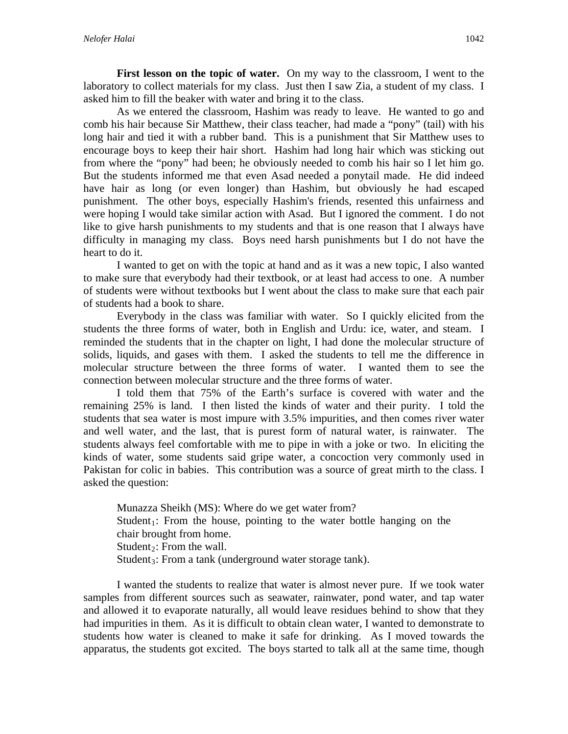**First lesson on the topic of water.** On my way to the classroom, I went to the laboratory to collect materials for my class. Just then I saw Zia, a student of my class. I asked him to fill the beaker with water and bring it to the class.

 As we entered the classroom, Hashim was ready to leave. He wanted to go and comb his hair because Sir Matthew, their class teacher, had made a "pony" (tail) with his long hair and tied it with a rubber band. This is a punishment that Sir Matthew uses to encourage boys to keep their hair short. Hashim had long hair which was sticking out from where the "pony" had been; he obviously needed to comb his hair so I let him go. But the students informed me that even Asad needed a ponytail made. He did indeed have hair as long (or even longer) than Hashim, but obviously he had escaped punishment. The other boys, especially Hashim's friends, resented this unfairness and were hoping I would take similar action with Asad. But I ignored the comment. I do not like to give harsh punishments to my students and that is one reason that I always have difficulty in managing my class. Boys need harsh punishments but I do not have the heart to do it.

 I wanted to get on with the topic at hand and as it was a new topic, I also wanted to make sure that everybody had their textbook, or at least had access to one. A number of students were without textbooks but I went about the class to make sure that each pair of students had a book to share.

 Everybody in the class was familiar with water. So I quickly elicited from the students the three forms of water, both in English and Urdu: ice, water, and steam. I reminded the students that in the chapter on light, I had done the molecular structure of solids, liquids, and gases with them. I asked the students to tell me the difference in molecular structure between the three forms of water. I wanted them to see the connection between molecular structure and the three forms of water.

 I told them that 75% of the Earth's surface is covered with water and the remaining 25% is land. I then listed the kinds of water and their purity. I told the students that sea water is most impure with 3.5% impurities, and then comes river water and well water, and the last, that is purest form of natural water, is rainwater. The students always feel comfortable with me to pipe in with a joke or two. In eliciting the kinds of water, some students said gripe water, a concoction very commonly used in Pakistan for colic in babies. This contribution was a source of great mirth to the class. I asked the question:

Munazza Sheikh (MS): Where do we get water from? Student<sub>1</sub>: From the house, pointing to the water bottle hanging on the chair brought from home. Student<sub>2</sub>: From the wall. Student<sub>3</sub>: From a tank (underground water storage tank).

I wanted the students to realize that water is almost never pure. If we took water samples from different sources such as seawater, rainwater, pond water, and tap water and allowed it to evaporate naturally, all would leave residues behind to show that they had impurities in them. As it is difficult to obtain clean water, I wanted to demonstrate to students how water is cleaned to make it safe for drinking. As I moved towards the apparatus, the students got excited. The boys started to talk all at the same time, though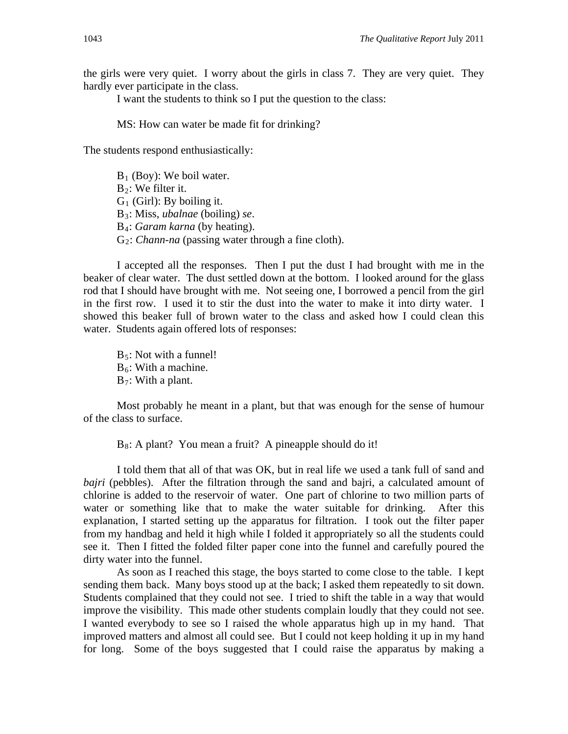the girls were very quiet. I worry about the girls in class 7. They are very quiet. They hardly ever participate in the class.

I want the students to think so I put the question to the class:

MS: How can water be made fit for drinking?

The students respond enthusiastically:

 $B_1$  (Boy): We boil water.  $B_2$ : We filter it.  $G_1$  (Girl): By boiling it. B3: Miss, *ubalnae* (boiling) *se*. B4: *Garam karna* (by heating). G2: *Chann-na* (passing water through a fine cloth).

 I accepted all the responses. Then I put the dust I had brought with me in the beaker of clear water. The dust settled down at the bottom. I looked around for the glass rod that I should have brought with me. Not seeing one, I borrowed a pencil from the girl in the first row. I used it to stir the dust into the water to make it into dirty water. I showed this beaker full of brown water to the class and asked how I could clean this water. Students again offered lots of responses:

 $B_5$ : Not with a funnel!  $B_6$ : With a machine.  $B_7$ : With a plant.

 Most probably he meant in a plant, but that was enough for the sense of humour of the class to surface.

 $B_8$ : A plant? You mean a fruit? A pineapple should do it!

 I told them that all of that was OK, but in real life we used a tank full of sand and *bajri* (pebbles). After the filtration through the sand and bajri, a calculated amount of chlorine is added to the reservoir of water. One part of chlorine to two million parts of water or something like that to make the water suitable for drinking. After this explanation, I started setting up the apparatus for filtration. I took out the filter paper from my handbag and held it high while I folded it appropriately so all the students could see it. Then I fitted the folded filter paper cone into the funnel and carefully poured the dirty water into the funnel.

 As soon as I reached this stage, the boys started to come close to the table. I kept sending them back. Many boys stood up at the back; I asked them repeatedly to sit down. Students complained that they could not see. I tried to shift the table in a way that would improve the visibility. This made other students complain loudly that they could not see. I wanted everybody to see so I raised the whole apparatus high up in my hand. That improved matters and almost all could see. But I could not keep holding it up in my hand for long. Some of the boys suggested that I could raise the apparatus by making a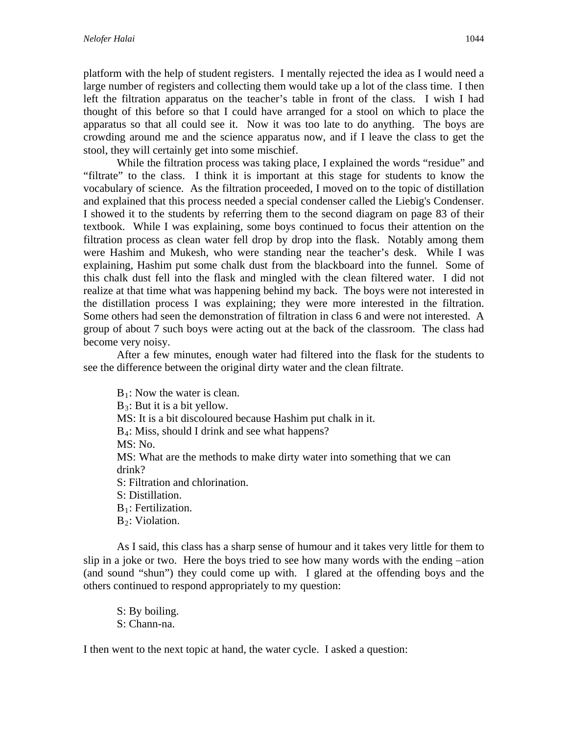platform with the help of student registers. I mentally rejected the idea as I would need a large number of registers and collecting them would take up a lot of the class time. I then left the filtration apparatus on the teacher's table in front of the class. I wish I had thought of this before so that I could have arranged for a stool on which to place the apparatus so that all could see it. Now it was too late to do anything. The boys are crowding around me and the science apparatus now, and if I leave the class to get the stool, they will certainly get into some mischief.

While the filtration process was taking place, I explained the words "residue" and "filtrate" to the class. I think it is important at this stage for students to know the vocabulary of science. As the filtration proceeded, I moved on to the topic of distillation and explained that this process needed a special condenser called the Liebig's Condenser. I showed it to the students by referring them to the second diagram on page 83 of their textbook. While I was explaining, some boys continued to focus their attention on the filtration process as clean water fell drop by drop into the flask. Notably among them were Hashim and Mukesh, who were standing near the teacher's desk. While I was explaining, Hashim put some chalk dust from the blackboard into the funnel. Some of this chalk dust fell into the flask and mingled with the clean filtered water. I did not realize at that time what was happening behind my back. The boys were not interested in the distillation process I was explaining; they were more interested in the filtration. Some others had seen the demonstration of filtration in class 6 and were not interested. A group of about 7 such boys were acting out at the back of the classroom. The class had become very noisy.

 After a few minutes, enough water had filtered into the flask for the students to see the difference between the original dirty water and the clean filtrate.

 $B_1$ : Now the water is clean.  $B_3$ : But it is a bit yellow. MS: It is a bit discoloured because Hashim put chalk in it. B4: Miss, should I drink and see what happens? MS: No. MS: What are the methods to make dirty water into something that we can drink? S: Filtration and chlorination. S: Distillation.  $B_1$ : Fertilization.  $B_2$ : Violation.

 As I said, this class has a sharp sense of humour and it takes very little for them to slip in a joke or two. Here the boys tried to see how many words with the ending  $-$ ation (and sound "shun") they could come up with. I glared at the offending boys and the others continued to respond appropriately to my question:

S: By boiling. S: Chann-na.

I then went to the next topic at hand, the water cycle. I asked a question: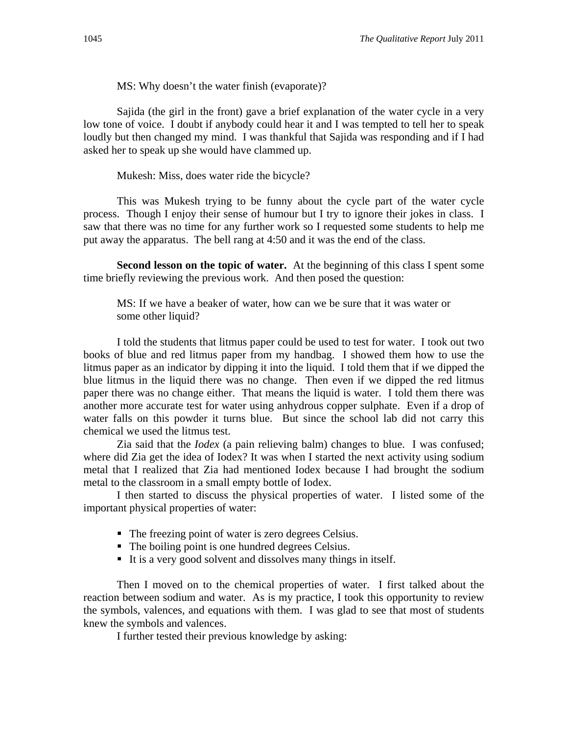MS: Why doesn't the water finish (evaporate)?

 Sajida (the girl in the front) gave a brief explanation of the water cycle in a very low tone of voice. I doubt if anybody could hear it and I was tempted to tell her to speak loudly but then changed my mind. I was thankful that Sajida was responding and if I had asked her to speak up she would have clammed up.

Mukesh: Miss, does water ride the bicycle?

 This was Mukesh trying to be funny about the cycle part of the water cycle process. Though I enjoy their sense of humour but I try to ignore their jokes in class. I saw that there was no time for any further work so I requested some students to help me put away the apparatus. The bell rang at 4:50 and it was the end of the class.

**Second lesson on the topic of water.** At the beginning of this class I spent some time briefly reviewing the previous work. And then posed the question:

MS: If we have a beaker of water, how can we be sure that it was water or some other liquid?

 I told the students that litmus paper could be used to test for water. I took out two books of blue and red litmus paper from my handbag. I showed them how to use the litmus paper as an indicator by dipping it into the liquid. I told them that if we dipped the blue litmus in the liquid there was no change. Then even if we dipped the red litmus paper there was no change either. That means the liquid is water. I told them there was another more accurate test for water using anhydrous copper sulphate. Even if a drop of water falls on this powder it turns blue. But since the school lab did not carry this chemical we used the litmus test.

 Zia said that the *Iodex* (a pain relieving balm) changes to blue. I was confused; where did Zia get the idea of Iodex? It was when I started the next activity using sodium metal that I realized that Zia had mentioned Iodex because I had brought the sodium metal to the classroom in a small empty bottle of Iodex.

 I then started to discuss the physical properties of water. I listed some of the important physical properties of water:

- The freezing point of water is zero degrees Celsius.
- The boiling point is one hundred degrees Celsius.
- It is a very good solvent and dissolves many things in itself.

 Then I moved on to the chemical properties of water. I first talked about the reaction between sodium and water. As is my practice, I took this opportunity to review the symbols, valences, and equations with them. I was glad to see that most of students knew the symbols and valences.

I further tested their previous knowledge by asking: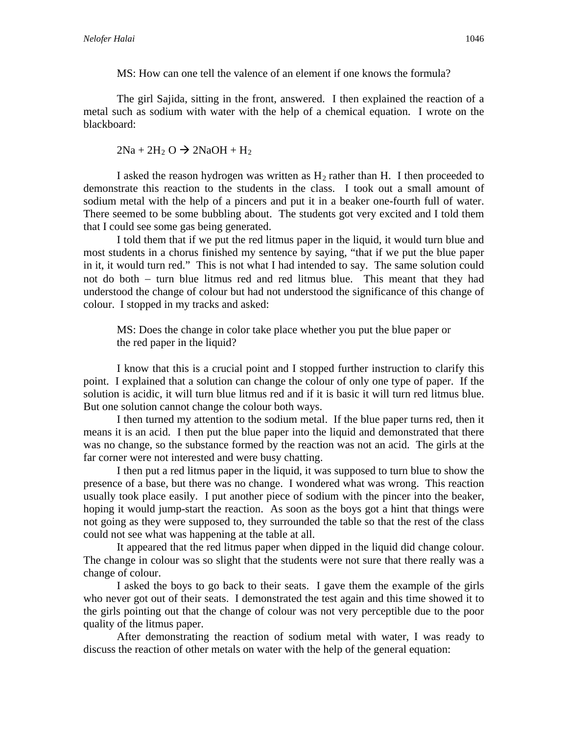MS: How can one tell the valence of an element if one knows the formula?

 The girl Sajida, sitting in the front, answered. I then explained the reaction of a metal such as sodium with water with the help of a chemical equation. I wrote on the blackboard:

 $2Na + 2H_2 O \rightarrow 2NaOH + H_2$ 

I asked the reason hydrogen was written as  $H_2$  rather than H. I then proceeded to demonstrate this reaction to the students in the class. I took out a small amount of sodium metal with the help of a pincers and put it in a beaker one-fourth full of water. There seemed to be some bubbling about. The students got very excited and I told them that I could see some gas being generated.

 I told them that if we put the red litmus paper in the liquid, it would turn blue and most students in a chorus finished my sentence by saying, "that if we put the blue paper in it, it would turn red." This is not what I had intended to say. The same solution could not do both  $-$  turn blue litmus red and red litmus blue. This meant that they had understood the change of colour but had not understood the significance of this change of colour. I stopped in my tracks and asked:

MS: Does the change in color take place whether you put the blue paper or the red paper in the liquid?

 I know that this is a crucial point and I stopped further instruction to clarify this point. I explained that a solution can change the colour of only one type of paper. If the solution is acidic, it will turn blue litmus red and if it is basic it will turn red litmus blue. But one solution cannot change the colour both ways.

 I then turned my attention to the sodium metal. If the blue paper turns red, then it means it is an acid. I then put the blue paper into the liquid and demonstrated that there was no change, so the substance formed by the reaction was not an acid. The girls at the far corner were not interested and were busy chatting.

 I then put a red litmus paper in the liquid, it was supposed to turn blue to show the presence of a base, but there was no change. I wondered what was wrong. This reaction usually took place easily. I put another piece of sodium with the pincer into the beaker, hoping it would jump-start the reaction. As soon as the boys got a hint that things were not going as they were supposed to, they surrounded the table so that the rest of the class could not see what was happening at the table at all.

 It appeared that the red litmus paper when dipped in the liquid did change colour. The change in colour was so slight that the students were not sure that there really was a change of colour.

 I asked the boys to go back to their seats. I gave them the example of the girls who never got out of their seats. I demonstrated the test again and this time showed it to the girls pointing out that the change of colour was not very perceptible due to the poor quality of the litmus paper.

After demonstrating the reaction of sodium metal with water, I was ready to discuss the reaction of other metals on water with the help of the general equation: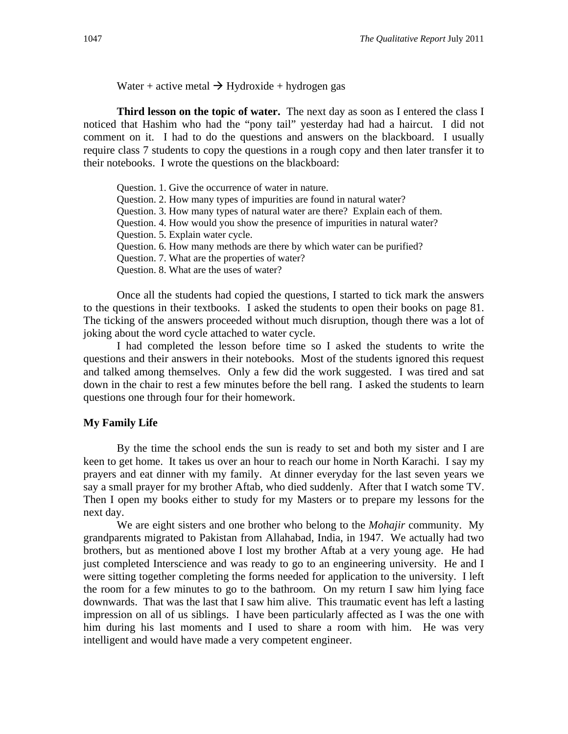Water + active metal  $\rightarrow$  Hydroxide + hydrogen gas

**Third lesson on the topic of water.** The next day as soon as I entered the class I noticed that Hashim who had the "pony tail" yesterday had had a haircut. I did not comment on it. I had to do the questions and answers on the blackboard. I usually require class 7 students to copy the questions in a rough copy and then later transfer it to their notebooks. I wrote the questions on the blackboard:

| Question. 1. Give the occurrence of water in nature.                          |
|-------------------------------------------------------------------------------|
| Question. 2. How many types of impurities are found in natural water?         |
| Question. 3. How many types of natural water are there? Explain each of them. |
| Question. 4. How would you show the presence of impurities in natural water?  |
| Question. 5. Explain water cycle.                                             |
| Question. 6. How many methods are there by which water can be purified?       |
| Question. 7. What are the properties of water?                                |
| Question. 8. What are the uses of water?                                      |
|                                                                               |

Once all the students had copied the questions, I started to tick mark the answers to the questions in their textbooks. I asked the students to open their books on page 81. The ticking of the answers proceeded without much disruption, though there was a lot of joking about the word cycle attached to water cycle.

 I had completed the lesson before time so I asked the students to write the questions and their answers in their notebooks. Most of the students ignored this request and talked among themselves. Only a few did the work suggested. I was tired and sat down in the chair to rest a few minutes before the bell rang. I asked the students to learn questions one through four for their homework.

#### **My Family Life**

 By the time the school ends the sun is ready to set and both my sister and I are keen to get home. It takes us over an hour to reach our home in North Karachi. I say my prayers and eat dinner with my family. At dinner everyday for the last seven years we say a small prayer for my brother Aftab, who died suddenly. After that I watch some TV. Then I open my books either to study for my Masters or to prepare my lessons for the next day.

We are eight sisters and one brother who belong to the *Mohajir* community. My grandparents migrated to Pakistan from Allahabad, India, in 1947. We actually had two brothers, but as mentioned above I lost my brother Aftab at a very young age. He had just completed Interscience and was ready to go to an engineering university. He and I were sitting together completing the forms needed for application to the university. I left the room for a few minutes to go to the bathroom. On my return I saw him lying face downwards. That was the last that I saw him alive. This traumatic event has left a lasting impression on all of us siblings. I have been particularly affected as I was the one with him during his last moments and I used to share a room with him. He was very intelligent and would have made a very competent engineer.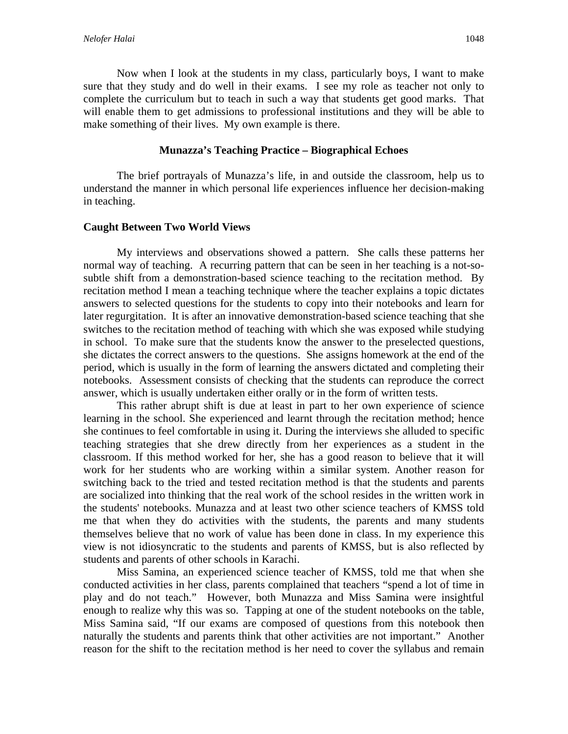Now when I look at the students in my class, particularly boys, I want to make sure that they study and do well in their exams. I see my role as teacher not only to complete the curriculum but to teach in such a way that students get good marks. That will enable them to get admissions to professional institutions and they will be able to make something of their lives. My own example is there.

#### **Munazza's Teaching Practice – Biographical Echoes**

The brief portrayals of Munazza's life, in and outside the classroom, help us to understand the manner in which personal life experiences influence her decision-making in teaching.

#### **Caught Between Two World Views**

My interviews and observations showed a pattern. She calls these patterns her normal way of teaching. A recurring pattern that can be seen in her teaching is a not-sosubtle shift from a demonstration-based science teaching to the recitation method. By recitation method I mean a teaching technique where the teacher explains a topic dictates answers to selected questions for the students to copy into their notebooks and learn for later regurgitation. It is after an innovative demonstration-based science teaching that she switches to the recitation method of teaching with which she was exposed while studying in school. To make sure that the students know the answer to the preselected questions, she dictates the correct answers to the questions. She assigns homework at the end of the period, which is usually in the form of learning the answers dictated and completing their notebooks. Assessment consists of checking that the students can reproduce the correct answer, which is usually undertaken either orally or in the form of written tests.

This rather abrupt shift is due at least in part to her own experience of science learning in the school. She experienced and learnt through the recitation method; hence she continues to feel comfortable in using it. During the interviews she alluded to specific teaching strategies that she drew directly from her experiences as a student in the classroom. If this method worked for her, she has a good reason to believe that it will work for her students who are working within a similar system. Another reason for switching back to the tried and tested recitation method is that the students and parents are socialized into thinking that the real work of the school resides in the written work in the students' notebooks. Munazza and at least two other science teachers of KMSS told me that when they do activities with the students, the parents and many students themselves believe that no work of value has been done in class. In my experience this view is not idiosyncratic to the students and parents of KMSS, but is also reflected by students and parents of other schools in Karachi.

 Miss Samina, an experienced science teacher of KMSS, told me that when she conducted activities in her class, parents complained that teachers "spend a lot of time in play and do not teach." However, both Munazza and Miss Samina were insightful enough to realize why this was so. Tapping at one of the student notebooks on the table, Miss Samina said, "If our exams are composed of questions from this notebook then naturally the students and parents think that other activities are not important." Another reason for the shift to the recitation method is her need to cover the syllabus and remain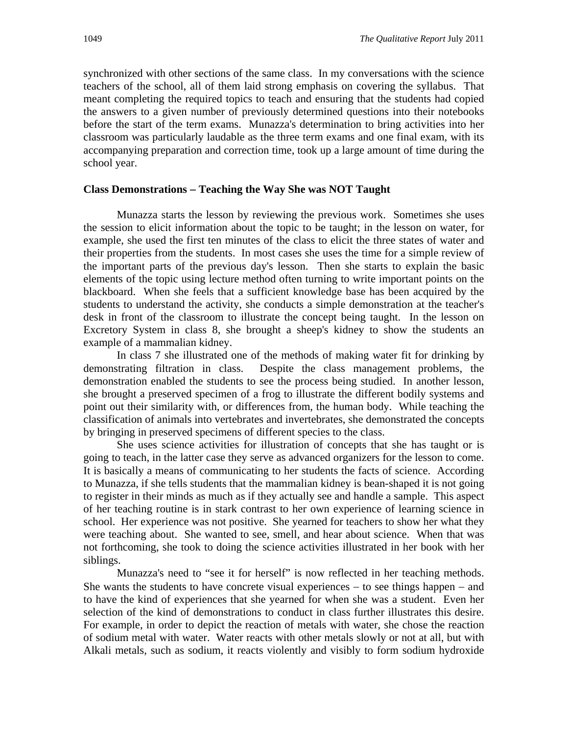synchronized with other sections of the same class. In my conversations with the science teachers of the school, all of them laid strong emphasis on covering the syllabus. That meant completing the required topics to teach and ensuring that the students had copied the answers to a given number of previously determined questions into their notebooks before the start of the term exams. Munazza's determination to bring activities into her classroom was particularly laudable as the three term exams and one final exam, with its accompanying preparation and correction time, took up a large amount of time during the school year.

#### **Class Demonstrations Teaching the Way She was NOT Taught**

Munazza starts the lesson by reviewing the previous work. Sometimes she uses the session to elicit information about the topic to be taught; in the lesson on water, for example, she used the first ten minutes of the class to elicit the three states of water and their properties from the students. In most cases she uses the time for a simple review of the important parts of the previous day's lesson. Then she starts to explain the basic elements of the topic using lecture method often turning to write important points on the blackboard. When she feels that a sufficient knowledge base has been acquired by the students to understand the activity, she conducts a simple demonstration at the teacher's desk in front of the classroom to illustrate the concept being taught. In the lesson on Excretory System in class 8, she brought a sheep's kidney to show the students an example of a mammalian kidney.

In class 7 she illustrated one of the methods of making water fit for drinking by demonstrating filtration in class. Despite the class management problems, the demonstration enabled the students to see the process being studied. In another lesson, she brought a preserved specimen of a frog to illustrate the different bodily systems and point out their similarity with, or differences from, the human body. While teaching the classification of animals into vertebrates and invertebrates, she demonstrated the concepts by bringing in preserved specimens of different species to the class.

She uses science activities for illustration of concepts that she has taught or is going to teach, in the latter case they serve as advanced organizers for the lesson to come. It is basically a means of communicating to her students the facts of science. According to Munazza, if she tells students that the mammalian kidney is bean-shaped it is not going to register in their minds as much as if they actually see and handle a sample. This aspect of her teaching routine is in stark contrast to her own experience of learning science in school. Her experience was not positive. She yearned for teachers to show her what they were teaching about. She wanted to see, smell, and hear about science. When that was not forthcoming, she took to doing the science activities illustrated in her book with her siblings.

Munazza's need to "see it for herself" is now reflected in her teaching methods. She wants the students to have concrete visual experiences  $-$  to see things happen  $-$  and to have the kind of experiences that she yearned for when she was a student. Even her selection of the kind of demonstrations to conduct in class further illustrates this desire. For example, in order to depict the reaction of metals with water, she chose the reaction of sodium metal with water. Water reacts with other metals slowly or not at all, but with Alkali metals, such as sodium, it reacts violently and visibly to form sodium hydroxide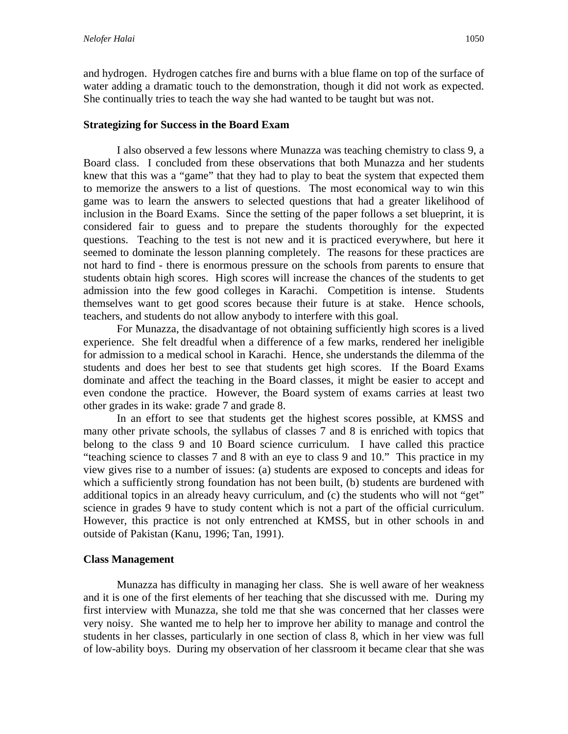and hydrogen. Hydrogen catches fire and burns with a blue flame on top of the surface of water adding a dramatic touch to the demonstration, though it did not work as expected. She continually tries to teach the way she had wanted to be taught but was not.

### **Strategizing for Success in the Board Exam**

I also observed a few lessons where Munazza was teaching chemistry to class 9, a Board class. I concluded from these observations that both Munazza and her students knew that this was a "game" that they had to play to beat the system that expected them to memorize the answers to a list of questions. The most economical way to win this game was to learn the answers to selected questions that had a greater likelihood of inclusion in the Board Exams. Since the setting of the paper follows a set blueprint, it is considered fair to guess and to prepare the students thoroughly for the expected questions. Teaching to the test is not new and it is practiced everywhere, but here it seemed to dominate the lesson planning completely. The reasons for these practices are not hard to find - there is enormous pressure on the schools from parents to ensure that students obtain high scores. High scores will increase the chances of the students to get admission into the few good colleges in Karachi. Competition is intense. Students themselves want to get good scores because their future is at stake. Hence schools, teachers, and students do not allow anybody to interfere with this goal.

For Munazza, the disadvantage of not obtaining sufficiently high scores is a lived experience. She felt dreadful when a difference of a few marks, rendered her ineligible for admission to a medical school in Karachi. Hence, she understands the dilemma of the students and does her best to see that students get high scores. If the Board Exams dominate and affect the teaching in the Board classes, it might be easier to accept and even condone the practice. However, the Board system of exams carries at least two other grades in its wake: grade 7 and grade 8.

In an effort to see that students get the highest scores possible, at KMSS and many other private schools, the syllabus of classes 7 and 8 is enriched with topics that belong to the class 9 and 10 Board science curriculum. I have called this practice "teaching science to classes 7 and 8 with an eye to class 9 and 10." This practice in my view gives rise to a number of issues: (a) students are exposed to concepts and ideas for which a sufficiently strong foundation has not been built, (b) students are burdened with additional topics in an already heavy curriculum, and (c) the students who will not "get" science in grades 9 have to study content which is not a part of the official curriculum. However, this practice is not only entrenched at KMSS, but in other schools in and outside of Pakistan (Kanu, 1996; Tan, 1991).

### **Class Management**

Munazza has difficulty in managing her class. She is well aware of her weakness and it is one of the first elements of her teaching that she discussed with me. During my first interview with Munazza, she told me that she was concerned that her classes were very noisy. She wanted me to help her to improve her ability to manage and control the students in her classes, particularly in one section of class 8, which in her view was full of low-ability boys. During my observation of her classroom it became clear that she was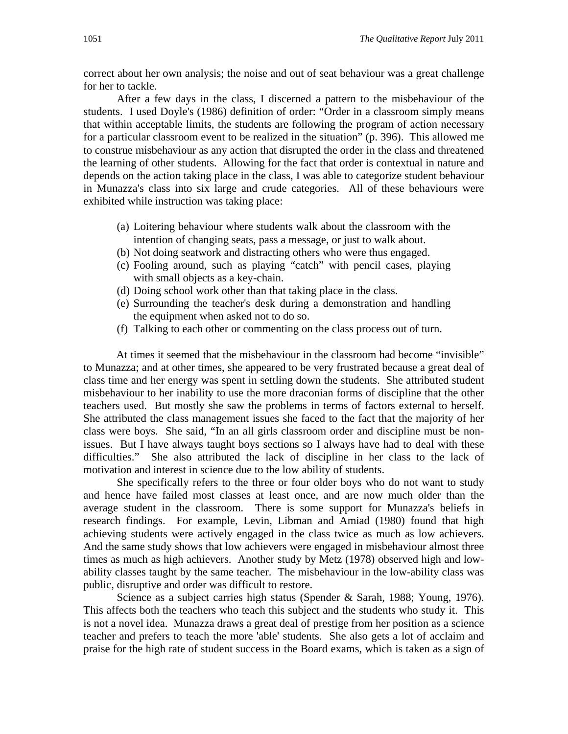correct about her own analysis; the noise and out of seat behaviour was a great challenge for her to tackle.

 After a few days in the class, I discerned a pattern to the misbehaviour of the students. I used Doyle's (1986) definition of order: "Order in a classroom simply means that within acceptable limits, the students are following the program of action necessary for a particular classroom event to be realized in the situation" (p. 396). This allowed me to construe misbehaviour as any action that disrupted the order in the class and threatened the learning of other students. Allowing for the fact that order is contextual in nature and depends on the action taking place in the class, I was able to categorize student behaviour in Munazza's class into six large and crude categories. All of these behaviours were exhibited while instruction was taking place:

- (a) Loitering behaviour where students walk about the classroom with the intention of changing seats, pass a message, or just to walk about.
- (b) Not doing seatwork and distracting others who were thus engaged.
- (c) Fooling around, such as playing "catch" with pencil cases, playing with small objects as a key-chain.
- (d) Doing school work other than that taking place in the class.
- (e) Surrounding the teacher's desk during a demonstration and handling the equipment when asked not to do so.
- (f) Talking to each other or commenting on the class process out of turn.

At times it seemed that the misbehaviour in the classroom had become "invisible" to Munazza; and at other times, she appeared to be very frustrated because a great deal of class time and her energy was spent in settling down the students. She attributed student misbehaviour to her inability to use the more draconian forms of discipline that the other teachers used. But mostly she saw the problems in terms of factors external to herself. She attributed the class management issues she faced to the fact that the majority of her class were boys. She said, "In an all girls classroom order and discipline must be nonissues. But I have always taught boys sections so I always have had to deal with these difficulties." She also attributed the lack of discipline in her class to the lack of motivation and interest in science due to the low ability of students.

She specifically refers to the three or four older boys who do not want to study and hence have failed most classes at least once, and are now much older than the average student in the classroom. There is some support for Munazza's beliefs in research findings. For example, Levin, Libman and Amiad (1980) found that high achieving students were actively engaged in the class twice as much as low achievers. And the same study shows that low achievers were engaged in misbehaviour almost three times as much as high achievers. Another study by Metz (1978) observed high and lowability classes taught by the same teacher. The misbehaviour in the low-ability class was public, disruptive and order was difficult to restore.

Science as a subject carries high status (Spender & Sarah, 1988; Young, 1976). This affects both the teachers who teach this subject and the students who study it. This is not a novel idea. Munazza draws a great deal of prestige from her position as a science teacher and prefers to teach the more 'able' students. She also gets a lot of acclaim and praise for the high rate of student success in the Board exams, which is taken as a sign of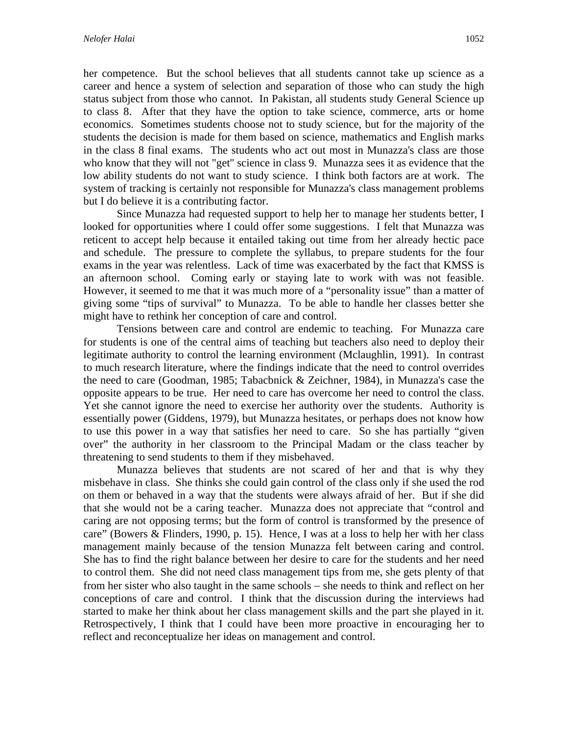her competence. But the school believes that all students cannot take up science as a career and hence a system of selection and separation of those who can study the high status subject from those who cannot. In Pakistan, all students study General Science up to class 8. After that they have the option to take science, commerce, arts or home economics. Sometimes students choose not to study science, but for the majority of the students the decision is made for them based on science, mathematics and English marks in the class 8 final exams. The students who act out most in Munazza's class are those who know that they will not "get" science in class 9. Munazza sees it as evidence that the low ability students do not want to study science. I think both factors are at work. The system of tracking is certainly not responsible for Munazza's class management problems but I do believe it is a contributing factor.

Since Munazza had requested support to help her to manage her students better, I looked for opportunities where I could offer some suggestions. I felt that Munazza was reticent to accept help because it entailed taking out time from her already hectic pace and schedule. The pressure to complete the syllabus, to prepare students for the four exams in the year was relentless. Lack of time was exacerbated by the fact that KMSS is an afternoon school. Coming early or staying late to work with was not feasible. However, it seemed to me that it was much more of a "personality issue" than a matter of giving some "tips of survival" to Munazza. To be able to handle her classes better she might have to rethink her conception of care and control.

Tensions between care and control are endemic to teaching. For Munazza care for students is one of the central aims of teaching but teachers also need to deploy their legitimate authority to control the learning environment (Mclaughlin, 1991). In contrast to much research literature, where the findings indicate that the need to control overrides the need to care (Goodman, 1985; Tabacbnick & Zeichner, 1984), in Munazza's case the opposite appears to be true. Her need to care has overcome her need to control the class. Yet she cannot ignore the need to exercise her authority over the students. Authority is essentially power (Giddens, 1979), but Munazza hesitates, or perhaps does not know how to use this power in a way that satisfies her need to care. So she has partially "given over" the authority in her classroom to the Principal Madam or the class teacher by threatening to send students to them if they misbehaved.

 Munazza believes that students are not scared of her and that is why they misbehave in class. She thinks she could gain control of the class only if she used the rod on them or behaved in a way that the students were always afraid of her. But if she did that she would not be a caring teacher. Munazza does not appreciate that "control and caring are not opposing terms; but the form of control is transformed by the presence of care" (Bowers & Flinders, 1990, p. 15). Hence, I was at a loss to help her with her class management mainly because of the tension Munazza felt between caring and control. She has to find the right balance between her desire to care for the students and her need to control them. She did not need class management tips from me, she gets plenty of that from her sister who also taught in the same schools – she needs to think and reflect on her conceptions of care and control. I think that the discussion during the interviews had started to make her think about her class management skills and the part she played in it. Retrospectively, I think that I could have been more proactive in encouraging her to reflect and reconceptualize her ideas on management and control.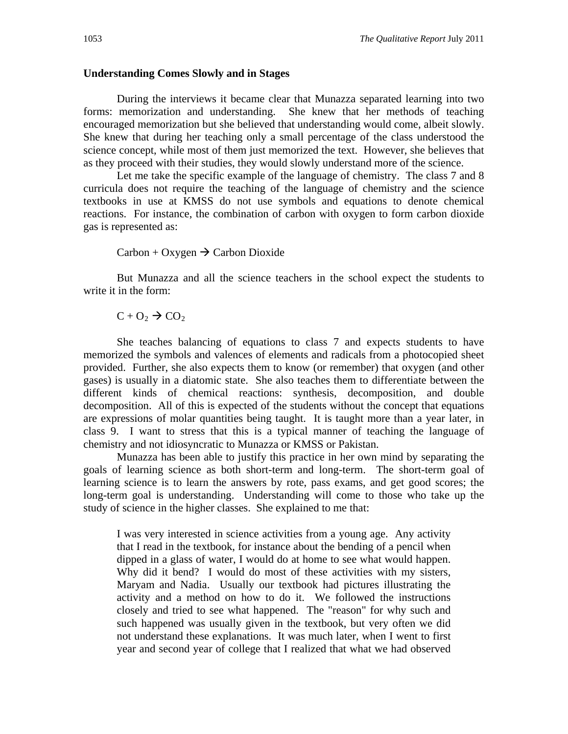#### **Understanding Comes Slowly and in Stages**

During the interviews it became clear that Munazza separated learning into two forms: memorization and understanding. She knew that her methods of teaching encouraged memorization but she believed that understanding would come, albeit slowly. She knew that during her teaching only a small percentage of the class understood the science concept, while most of them just memorized the text. However, she believes that as they proceed with their studies, they would slowly understand more of the science.

Let me take the specific example of the language of chemistry. The class 7 and 8 curricula does not require the teaching of the language of chemistry and the science textbooks in use at KMSS do not use symbols and equations to denote chemical reactions. For instance, the combination of carbon with oxygen to form carbon dioxide gas is represented as:

#### $\text{Carbon} + \text{Oxygen} \rightarrow \text{Carbon Dioxide}$

 But Munazza and all the science teachers in the school expect the students to write it in the form:

 $C + O<sub>2</sub> \rightarrow CO<sub>2</sub>$ 

 She teaches balancing of equations to class 7 and expects students to have memorized the symbols and valences of elements and radicals from a photocopied sheet provided. Further, she also expects them to know (or remember) that oxygen (and other gases) is usually in a diatomic state. She also teaches them to differentiate between the different kinds of chemical reactions: synthesis, decomposition, and double decomposition. All of this is expected of the students without the concept that equations are expressions of molar quantities being taught. It is taught more than a year later, in class 9. I want to stress that this is a typical manner of teaching the language of chemistry and not idiosyncratic to Munazza or KMSS or Pakistan.

 Munazza has been able to justify this practice in her own mind by separating the goals of learning science as both short-term and long-term. The short-term goal of learning science is to learn the answers by rote, pass exams, and get good scores; the long-term goal is understanding. Understanding will come to those who take up the study of science in the higher classes. She explained to me that:

I was very interested in science activities from a young age. Any activity that I read in the textbook, for instance about the bending of a pencil when dipped in a glass of water, I would do at home to see what would happen. Why did it bend? I would do most of these activities with my sisters, Maryam and Nadia. Usually our textbook had pictures illustrating the activity and a method on how to do it. We followed the instructions closely and tried to see what happened. The "reason" for why such and such happened was usually given in the textbook, but very often we did not understand these explanations. It was much later, when I went to first year and second year of college that I realized that what we had observed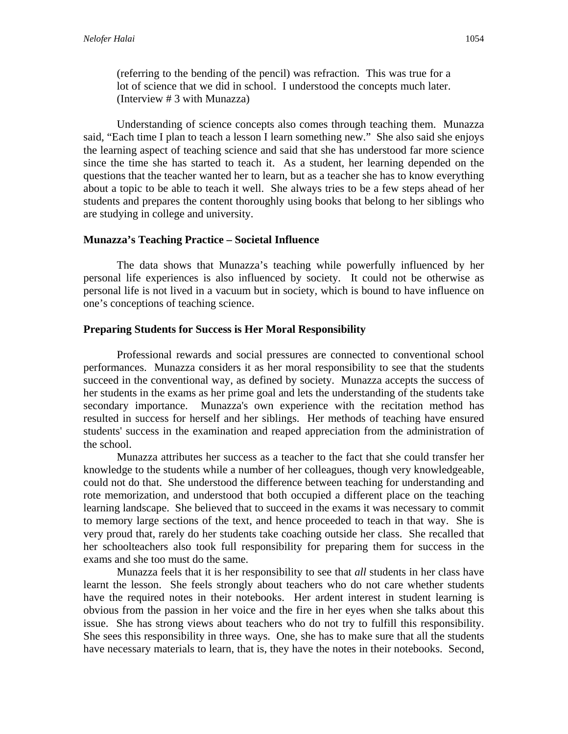(referring to the bending of the pencil) was refraction. This was true for a lot of science that we did in school. I understood the concepts much later. (Interview # 3 with Munazza)

Understanding of science concepts also comes through teaching them. Munazza said, "Each time I plan to teach a lesson I learn something new." She also said she enjoys the learning aspect of teaching science and said that she has understood far more science since the time she has started to teach it. As a student, her learning depended on the questions that the teacher wanted her to learn, but as a teacher she has to know everything about a topic to be able to teach it well. She always tries to be a few steps ahead of her students and prepares the content thoroughly using books that belong to her siblings who are studying in college and university.

## **Munazza's Teaching Practice – Societal Influence**

 The data shows that Munazza's teaching while powerfully influenced by her personal life experiences is also influenced by society. It could not be otherwise as personal life is not lived in a vacuum but in society, which is bound to have influence on one's conceptions of teaching science.

## **Preparing Students for Success is Her Moral Responsibility**

Professional rewards and social pressures are connected to conventional school performances. Munazza considers it as her moral responsibility to see that the students succeed in the conventional way, as defined by society. Munazza accepts the success of her students in the exams as her prime goal and lets the understanding of the students take secondary importance. Munazza's own experience with the recitation method has resulted in success for herself and her siblings. Her methods of teaching have ensured students' success in the examination and reaped appreciation from the administration of the school.

Munazza attributes her success as a teacher to the fact that she could transfer her knowledge to the students while a number of her colleagues, though very knowledgeable, could not do that. She understood the difference between teaching for understanding and rote memorization, and understood that both occupied a different place on the teaching learning landscape. She believed that to succeed in the exams it was necessary to commit to memory large sections of the text, and hence proceeded to teach in that way. She is very proud that, rarely do her students take coaching outside her class. She recalled that her schoolteachers also took full responsibility for preparing them for success in the exams and she too must do the same.

Munazza feels that it is her responsibility to see that *all* students in her class have learnt the lesson. She feels strongly about teachers who do not care whether students have the required notes in their notebooks. Her ardent interest in student learning is obvious from the passion in her voice and the fire in her eyes when she talks about this issue. She has strong views about teachers who do not try to fulfill this responsibility. She sees this responsibility in three ways. One, she has to make sure that all the students have necessary materials to learn, that is, they have the notes in their notebooks. Second,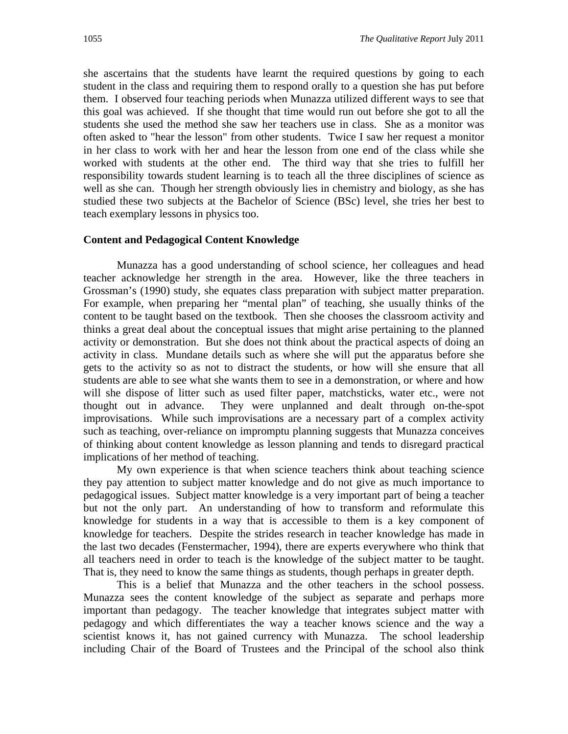she ascertains that the students have learnt the required questions by going to each student in the class and requiring them to respond orally to a question she has put before them. I observed four teaching periods when Munazza utilized different ways to see that this goal was achieved. If she thought that time would run out before she got to all the students she used the method she saw her teachers use in class. She as a monitor was often asked to "hear the lesson" from other students. Twice I saw her request a monitor in her class to work with her and hear the lesson from one end of the class while she worked with students at the other end. The third way that she tries to fulfill her responsibility towards student learning is to teach all the three disciplines of science as well as she can. Though her strength obviously lies in chemistry and biology, as she has studied these two subjects at the Bachelor of Science (BSc) level, she tries her best to teach exemplary lessons in physics too.

#### **Content and Pedagogical Content Knowledge**

Munazza has a good understanding of school science, her colleagues and head teacher acknowledge her strength in the area. However, like the three teachers in Grossman's (1990) study, she equates class preparation with subject matter preparation. For example, when preparing her "mental plan" of teaching, she usually thinks of the content to be taught based on the textbook. Then she chooses the classroom activity and thinks a great deal about the conceptual issues that might arise pertaining to the planned activity or demonstration. But she does not think about the practical aspects of doing an activity in class. Mundane details such as where she will put the apparatus before she gets to the activity so as not to distract the students, or how will she ensure that all students are able to see what she wants them to see in a demonstration, or where and how will she dispose of litter such as used filter paper, matchsticks, water etc., were not thought out in advance. They were unplanned and dealt through on-the-spot improvisations. While such improvisations are a necessary part of a complex activity such as teaching, over-reliance on impromptu planning suggests that Munazza conceives of thinking about content knowledge as lesson planning and tends to disregard practical implications of her method of teaching.

My own experience is that when science teachers think about teaching science they pay attention to subject matter knowledge and do not give as much importance to pedagogical issues. Subject matter knowledge is a very important part of being a teacher but not the only part. An understanding of how to transform and reformulate this knowledge for students in a way that is accessible to them is a key component of knowledge for teachers. Despite the strides research in teacher knowledge has made in the last two decades (Fenstermacher, 1994), there are experts everywhere who think that all teachers need in order to teach is the knowledge of the subject matter to be taught. That is, they need to know the same things as students, though perhaps in greater depth.

This is a belief that Munazza and the other teachers in the school possess. Munazza sees the content knowledge of the subject as separate and perhaps more important than pedagogy. The teacher knowledge that integrates subject matter with pedagogy and which differentiates the way a teacher knows science and the way a scientist knows it, has not gained currency with Munazza. The school leadership including Chair of the Board of Trustees and the Principal of the school also think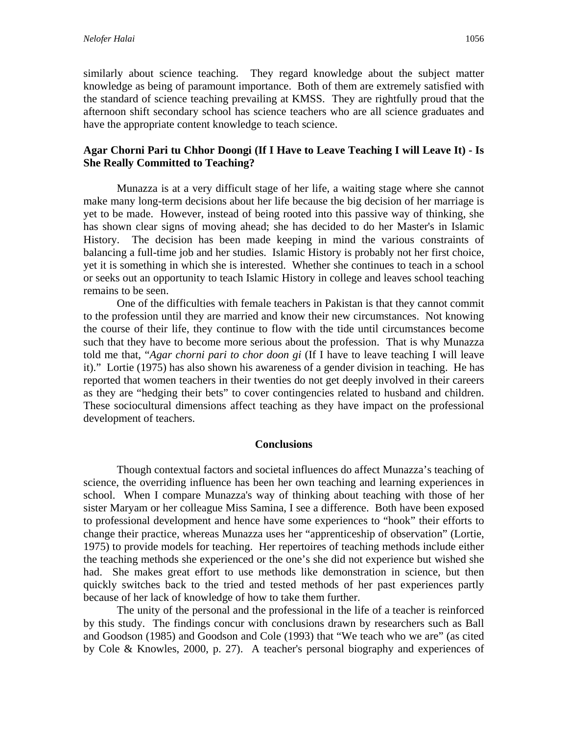similarly about science teaching. They regard knowledge about the subject matter knowledge as being of paramount importance. Both of them are extremely satisfied with the standard of science teaching prevailing at KMSS. They are rightfully proud that the afternoon shift secondary school has science teachers who are all science graduates and have the appropriate content knowledge to teach science.

## **Agar Chorni Pari tu Chhor Doongi (If I Have to Leave Teaching I will Leave It) - Is She Really Committed to Teaching?**

 Munazza is at a very difficult stage of her life, a waiting stage where she cannot make many long-term decisions about her life because the big decision of her marriage is yet to be made. However, instead of being rooted into this passive way of thinking, she has shown clear signs of moving ahead; she has decided to do her Master's in Islamic History. The decision has been made keeping in mind the various constraints of balancing a full-time job and her studies. Islamic History is probably not her first choice, yet it is something in which she is interested. Whether she continues to teach in a school or seeks out an opportunity to teach Islamic History in college and leaves school teaching remains to be seen.

One of the difficulties with female teachers in Pakistan is that they cannot commit to the profession until they are married and know their new circumstances. Not knowing the course of their life, they continue to flow with the tide until circumstances become such that they have to become more serious about the profession. That is why Munazza told me that, "*Agar chorni pari to chor doon gi* (If I have to leave teaching I will leave it)." Lortie (1975) has also shown his awareness of a gender division in teaching. He has reported that women teachers in their twenties do not get deeply involved in their careers as they are "hedging their bets" to cover contingencies related to husband and children. These sociocultural dimensions affect teaching as they have impact on the professional development of teachers.

#### **Conclusions**

 Though contextual factors and societal influences do affect Munazza's teaching of science, the overriding influence has been her own teaching and learning experiences in school. When I compare Munazza's way of thinking about teaching with those of her sister Maryam or her colleague Miss Samina, I see a difference. Both have been exposed to professional development and hence have some experiences to "hook" their efforts to change their practice, whereas Munazza uses her "apprenticeship of observation" (Lortie, 1975) to provide models for teaching. Her repertoires of teaching methods include either the teaching methods she experienced or the one's she did not experience but wished she had. She makes great effort to use methods like demonstration in science, but then quickly switches back to the tried and tested methods of her past experiences partly because of her lack of knowledge of how to take them further.

The unity of the personal and the professional in the life of a teacher is reinforced by this study. The findings concur with conclusions drawn by researchers such as Ball and Goodson (1985) and Goodson and Cole (1993) that "We teach who we are" (as cited by Cole & Knowles, 2000, p. 27). A teacher's personal biography and experiences of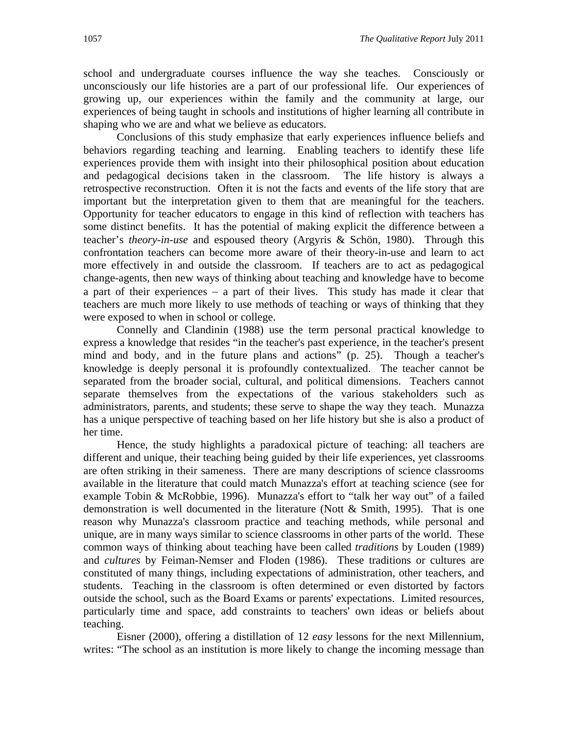school and undergraduate courses influence the way she teaches. Consciously or unconsciously our life histories are a part of our professional life. Our experiences of growing up, our experiences within the family and the community at large, our experiences of being taught in schools and institutions of higher learning all contribute in shaping who we are and what we believe as educators.

Conclusions of this study emphasize that early experiences influence beliefs and behaviors regarding teaching and learning. Enabling teachers to identify these life experiences provide them with insight into their philosophical position about education and pedagogical decisions taken in the classroom. The life history is always a retrospective reconstruction. Often it is not the facts and events of the life story that are important but the interpretation given to them that are meaningful for the teachers. Opportunity for teacher educators to engage in this kind of reflection with teachers has some distinct benefits. It has the potential of making explicit the difference between a teacher's *theory-in-use* and espoused theory (Argyris & Schön, 1980). Through this confrontation teachers can become more aware of their theory-in-use and learn to act more effectively in and outside the classroom. If teachers are to act as pedagogical change-agents, then new ways of thinking about teaching and knowledge have to become a part of their experiences  $-$  a part of their lives. This study has made it clear that teachers are much more likely to use methods of teaching or ways of thinking that they were exposed to when in school or college.

Connelly and Clandinin (1988) use the term personal practical knowledge to express a knowledge that resides "in the teacher's past experience, in the teacher's present mind and body, and in the future plans and actions" (p. 25). Though a teacher's knowledge is deeply personal it is profoundly contextualized. The teacher cannot be separated from the broader social, cultural, and political dimensions. Teachers cannot separate themselves from the expectations of the various stakeholders such as administrators, parents, and students; these serve to shape the way they teach. Munazza has a unique perspective of teaching based on her life history but she is also a product of her time.

Hence, the study highlights a paradoxical picture of teaching: all teachers are different and unique, their teaching being guided by their life experiences, yet classrooms are often striking in their sameness. There are many descriptions of science classrooms available in the literature that could match Munazza's effort at teaching science (see for example Tobin & McRobbie, 1996). Munazza's effort to "talk her way out" of a failed demonstration is well documented in the literature (Nott & Smith, 1995). That is one reason why Munazza's classroom practice and teaching methods, while personal and unique, are in many ways similar to science classrooms in other parts of the world. These common ways of thinking about teaching have been called *traditions* by Louden (1989) and *cultures* by Feiman-Nemser and Floden (1986). These traditions or cultures are constituted of many things, including expectations of administration, other teachers, and students. Teaching in the classroom is often determined or even distorted by factors outside the school, such as the Board Exams or parents' expectations. Limited resources, particularly time and space, add constraints to teachers' own ideas or beliefs about teaching.

Eisner (2000), offering a distillation of 12 *easy* lessons for the next Millennium, writes: "The school as an institution is more likely to change the incoming message than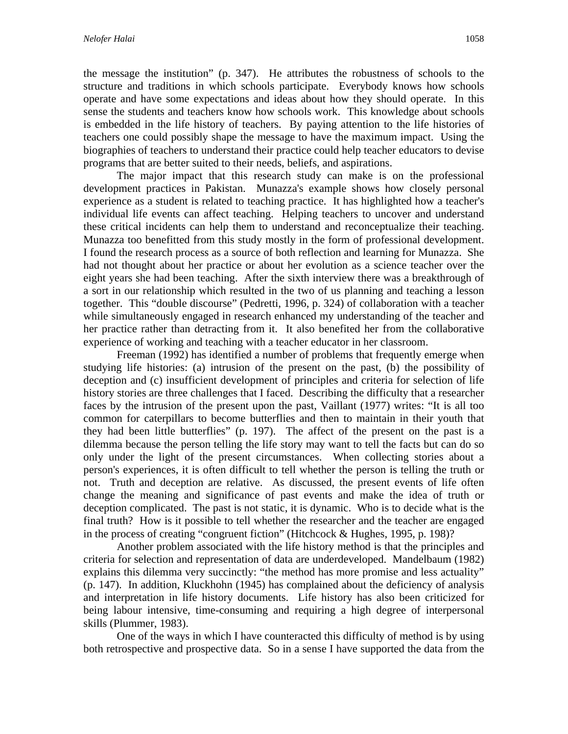the message the institution" (p. 347). He attributes the robustness of schools to the structure and traditions in which schools participate. Everybody knows how schools operate and have some expectations and ideas about how they should operate. In this sense the students and teachers know how schools work. This knowledge about schools is embedded in the life history of teachers. By paying attention to the life histories of teachers one could possibly shape the message to have the maximum impact. Using the biographies of teachers to understand their practice could help teacher educators to devise programs that are better suited to their needs, beliefs, and aspirations.

The major impact that this research study can make is on the professional development practices in Pakistan. Munazza's example shows how closely personal experience as a student is related to teaching practice. It has highlighted how a teacher's individual life events can affect teaching. Helping teachers to uncover and understand these critical incidents can help them to understand and reconceptualize their teaching. Munazza too benefitted from this study mostly in the form of professional development. I found the research process as a source of both reflection and learning for Munazza. She had not thought about her practice or about her evolution as a science teacher over the eight years she had been teaching. After the sixth interview there was a breakthrough of a sort in our relationship which resulted in the two of us planning and teaching a lesson together. This "double discourse" (Pedretti, 1996, p. 324) of collaboration with a teacher while simultaneously engaged in research enhanced my understanding of the teacher and her practice rather than detracting from it. It also benefited her from the collaborative experience of working and teaching with a teacher educator in her classroom.

Freeman (1992) has identified a number of problems that frequently emerge when studying life histories: (a) intrusion of the present on the past, (b) the possibility of deception and (c) insufficient development of principles and criteria for selection of life history stories are three challenges that I faced. Describing the difficulty that a researcher faces by the intrusion of the present upon the past, Vaillant (1977) writes: "It is all too common for caterpillars to become butterflies and then to maintain in their youth that they had been little butterflies" (p. 197). The affect of the present on the past is a dilemma because the person telling the life story may want to tell the facts but can do so only under the light of the present circumstances. When collecting stories about a person's experiences, it is often difficult to tell whether the person is telling the truth or not. Truth and deception are relative. As discussed, the present events of life often change the meaning and significance of past events and make the idea of truth or deception complicated. The past is not static, it is dynamic. Who is to decide what is the final truth? How is it possible to tell whether the researcher and the teacher are engaged in the process of creating "congruent fiction" (Hitchcock & Hughes, 1995, p. 198)?

Another problem associated with the life history method is that the principles and criteria for selection and representation of data are underdeveloped. Mandelbaum (1982) explains this dilemma very succinctly: "the method has more promise and less actuality" (p. 147). In addition, Kluckhohn (1945) has complained about the deficiency of analysis and interpretation in life history documents. Life history has also been criticized for being labour intensive, time-consuming and requiring a high degree of interpersonal skills (Plummer, 1983).

One of the ways in which I have counteracted this difficulty of method is by using both retrospective and prospective data. So in a sense I have supported the data from the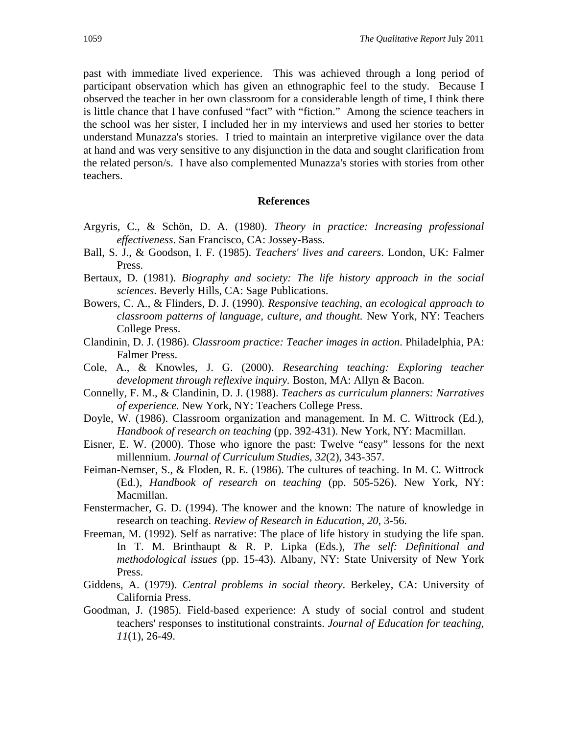past with immediate lived experience. This was achieved through a long period of participant observation which has given an ethnographic feel to the study. Because I observed the teacher in her own classroom for a considerable length of time, I think there is little chance that I have confused "fact" with "fiction." Among the science teachers in the school was her sister, I included her in my interviews and used her stories to better understand Munazza's stories. I tried to maintain an interpretive vigilance over the data at hand and was very sensitive to any disjunction in the data and sought clarification from the related person/s. I have also complemented Munazza's stories with stories from other teachers.

#### **References**

- Argyris, C., & Schön, D. A. (1980). *Theory in practice: Increasing professional effectiveness*. San Francisco, CA: Jossey-Bass.
- Ball, S. J., & Goodson, I. F. (1985). *Teachers' lives and careers*. London, UK: Falmer Press.
- Bertaux, D. (1981). *Biography and society: The life history approach in the social sciences*. Beverly Hills, CA: Sage Publications.
- Bowers, C. A., & Flinders, D. J. (1990)*. Responsive teaching*, *an ecological approach to classroom patterns of language, culture, and thought.* New York, NY: Teachers College Press.
- Clandinin, D. J. (1986). *Classroom practice: Teacher images in action*. Philadelphia, PA: Falmer Press.
- Cole, A., & Knowles, J. G. (2000). *Researching teaching: Exploring teacher development through reflexive inquiry.* Boston, MA: Allyn & Bacon.
- Connelly, F. M., & Clandinin, D. J. (1988). *Teachers as curriculum planners: Narratives of experience.* New York, NY: Teachers College Press.
- Doyle, W. (1986). Classroom organization and management. In M. C. Wittrock (Ed.), *Handbook of research on teaching* (pp. 392-431). New York, NY: Macmillan.
- Eisner, E. W. (2000). Those who ignore the past: Twelve "easy" lessons for the next millennium. *Journal of Curriculum Studies, 32*(2), 343-357.
- Feiman-Nemser, S., & Floden, R. E. (1986). The cultures of teaching. In M. C. Wittrock (Ed.), *Handbook of research on teaching* (pp. 505-526). New York, NY: Macmillan.
- Fenstermacher, G. D. (1994). The knower and the known: The nature of knowledge in research on teaching. *Review of Research in Education, 20,* 3-56.
- Freeman, M. (1992). Self as narrative: The place of life history in studying the life span. In T. M. Brinthaupt & R. P. Lipka (Eds.), *The self: Definitional and methodological issues* (pp. 15-43). Albany, NY: State University of New York Press.
- Giddens, A. (1979). *Central problems in social theory*. Berkeley, CA: University of California Press.
- Goodman, J. (1985). Field-based experience: A study of social control and student teachers' responses to institutional constraints. *Journal of Education for teaching, 11*(1), 26-49.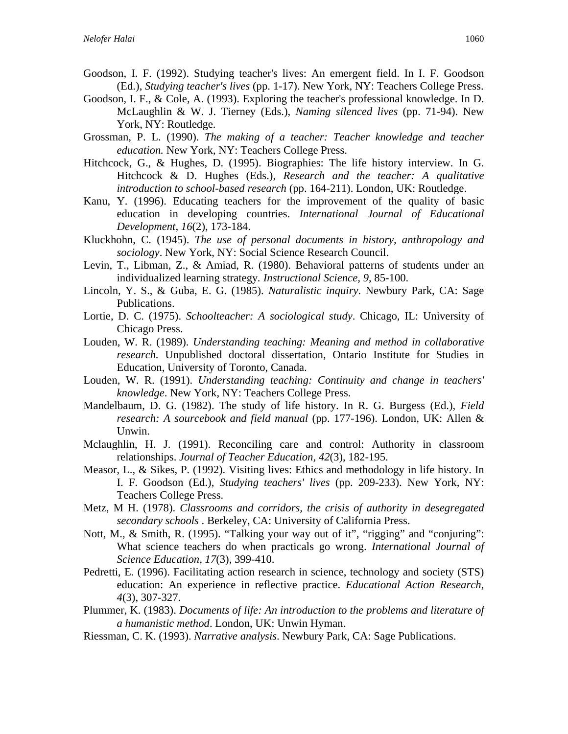- Goodson, I. F. (1992). Studying teacher's lives: An emergent field. In I. F. Goodson (Ed.), *Studying teacher's lives* (pp. 1-17). New York, NY: Teachers College Press.
- Goodson, I. F., & Cole, A. (1993). Exploring the teacher's professional knowledge. In D. McLaughlin & W. J. Tierney (Eds.), *Naming silenced lives* (pp. 71-94). New York, NY: Routledge.
- Grossman, P. L. (1990). *The making of a teacher: Teacher knowledge and teacher education.* New York, NY: Teachers College Press.
- Hitchcock, G., & Hughes, D. (1995). Biographies: The life history interview. In G. Hitchcock & D. Hughes (Eds.), *Research and the teacher: A qualitative introduction to school-based research* (pp. 164-211). London, UK: Routledge.
- Kanu, Y. (1996). Educating teachers for the improvement of the quality of basic education in developing countries. *International Journal of Educational Development, 16*(2), 173-184.
- Kluckhohn, C. (1945). *The use of personal documents in history, anthropology and sociology*. New York, NY: Social Science Research Council.
- Levin, T., Libman, Z., & Amiad, R. (1980). Behavioral patterns of students under an individualized learning strategy*. Instructional Science, 9*, 85-100.
- Lincoln, Y. S., & Guba, E. G. (1985). *Naturalistic inquiry*. Newbury Park, CA: Sage Publications.
- Lortie, D. C. (1975). *Schoolteacher: A sociological study*. Chicago, IL: University of Chicago Press.
- Louden, W. R. (1989). *Understanding teaching: Meaning and method in collaborative research.* Unpublished doctoral dissertation, Ontario Institute for Studies in Education, University of Toronto, Canada.
- Louden, W. R. (1991). *Understanding teaching: Continuity and change in teachers' knowledge*. New York, NY: Teachers College Press.
- Mandelbaum, D. G. (1982). The study of life history. In R. G. Burgess (Ed.), *Field research: A sourcebook and field manual* (pp. 177-196). London, UK: Allen & Unwin.
- Mclaughlin, H. J. (1991). Reconciling care and control: Authority in classroom relationships. *Journal of Teacher Education, 42*(3), 182-195.
- Measor, L., & Sikes, P. (1992). Visiting lives: Ethics and methodology in life history. In I. F. Goodson (Ed.), *Studying teachers' lives* (pp. 209-233). New York, NY: Teachers College Press.
- Metz, M H. (1978). *Classrooms and corridors, the crisis of authority in desegregated secondary schools* . Berkeley, CA: University of California Press.
- Nott, M., & Smith, R. (1995). "Talking your way out of it", "rigging" and "conjuring": What science teachers do when practicals go wrong. *International Journal of Science Education, 17*(3), 399-410.
- Pedretti, E. (1996). Facilitating action research in science, technology and society (STS) education: An experience in reflective practice. *Educational Action Research, 4*(3), 307-327.
- Plummer, K. (1983). *Documents of life: An introduction to the problems and literature of a humanistic method*. London, UK: Unwin Hyman.
- Riessman, C. K. (1993). *Narrative analysis*. Newbury Park, CA: Sage Publications.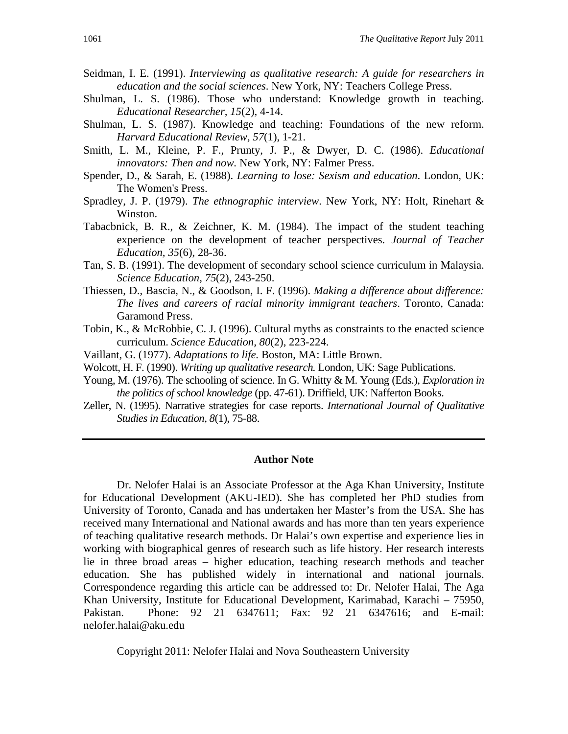- Seidman, I. E. (1991). *Interviewing as qualitative research: A guide for researchers in education and the social sciences*. New York, NY: Teachers College Press.
- Shulman, L. S. (1986). Those who understand: Knowledge growth in teaching. *Educational Researcher, 15*(2)*,* 4-14.
- Shulman, L. S. (1987). Knowledge and teaching: Foundations of the new reform. *Harvard Educational Review, 57*(1), 1-21.
- Smith, L. M., Kleine, P. F., Prunty, J. P., & Dwyer, D. C. (1986). *Educational innovators: Then and now.* New York, NY: Falmer Press.
- Spender, D., & Sarah, E. (1988). *Learning to lose: Sexism and education*. London, UK: The Women's Press.
- Spradley, J. P. (1979). *The ethnographic interview*. New York, NY: Holt, Rinehart & Winston.
- Tabacbnick, B. R., & Zeichner, K. M. (1984). The impact of the student teaching experience on the development of teacher perspectives. *Journal of Teacher Education, 35*(6), 28-36.
- Tan, S. B. (1991). The development of secondary school science curriculum in Malaysia. *Science Education, 75*(2), 243-250.
- Thiessen, D., Bascia, N., & Goodson, I. F. (1996). *Making a difference about difference: The lives and careers of racial minority immigrant teachers*. Toronto, Canada: Garamond Press.
- Tobin, K., & McRobbie, C. J. (1996). Cultural myths as constraints to the enacted science curriculum. *Science Education, 80*(2), 223-224.
- Vaillant, G. (1977). *Adaptations to life.* Boston, MA: Little Brown.
- Wolcott, H. F. (1990). *Writing up qualitative research.* London, UK: Sage Publications.
- Young, M. (1976). The schooling of science. In G. Whitty & M. Young (Eds.), *Exploration in the politics of school knowledge* (pp. 47-61). Driffield, UK: Nafferton Books.
- Zeller, N. (1995). Narrative strategies for case reports. *International Journal of Qualitative Studies in Education*, *8*(1), 75-88.

#### **Author Note**

Dr. Nelofer Halai is an Associate Professor at the Aga Khan University, Institute for Educational Development (AKU-IED). She has completed her PhD studies from University of Toronto, Canada and has undertaken her Master's from the USA. She has received many International and National awards and has more than ten years experience of teaching qualitative research methods. Dr Halai's own expertise and experience lies in working with biographical genres of research such as life history. Her research interests lie in three broad areas – higher education, teaching research methods and teacher education. She has published widely in international and national journals. Correspondence regarding this article can be addressed to: Dr. Nelofer Halai, The Aga Khan University, Institute for Educational Development, Karimabad, Karachi – 75950, Pakistan. Phone: 92 21 6347611; Fax: 92 21 6347616; and E-mail: nelofer.halai@aku.edu

Copyright 2011: Nelofer Halai and Nova Southeastern University